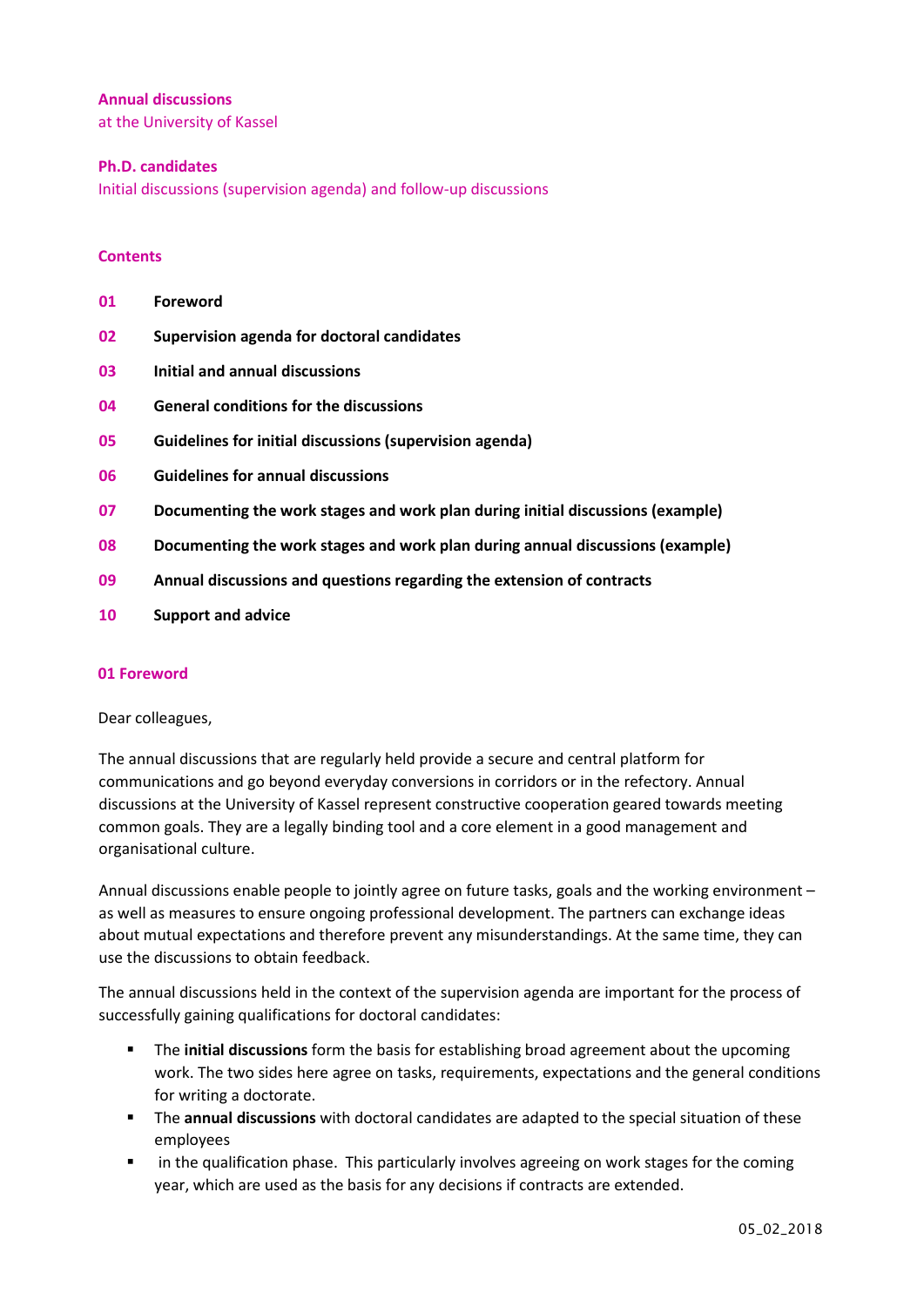### **Annual discussions**

at the University of Kassel

### **Ph.D. candidates**

Initial discussions (supervision agenda) and follow-up discussions

### **Contents**

| Foreword<br>01 |  |
|----------------|--|
|----------------|--|

- **02 Supervision agenda for doctoral candidates**
- **03 Initial and annual discussions**
- **04 General conditions for the discussions**
- **05 Guidelines for initial discussions (supervision agenda)**
- **06 Guidelines for annual discussions**
- **07 Documenting the work stages and work plan during initial discussions (example)**
- **08 Documenting the work stages and work plan during annual discussions (example)**
- **09 Annual discussions and questions regarding the extension of contracts**
- **10 Support and advice**

### **01 Foreword**

### Dear colleagues,

The annual discussions that are regularly held provide a secure and central platform for communications and go beyond everyday conversions in corridors or in the refectory. Annual discussions at the University of Kassel represent constructive cooperation geared towards meeting common goals. They are a legally binding tool and a core element in a good management and organisational culture.

Annual discussions enable people to jointly agree on future tasks, goals and the working environment – as well as measures to ensure ongoing professional development. The partners can exchange ideas about mutual expectations and therefore prevent any misunderstandings. At the same time, they can use the discussions to obtain feedback.

The annual discussions held in the context of the supervision agenda are important for the process of successfully gaining qualifications for doctoral candidates:

- The **initial discussions** form the basis for establishing broad agreement about the upcoming work. The two sides here agree on tasks, requirements, expectations and the general conditions for writing a doctorate.
- The **annual discussions** with doctoral candidates are adapted to the special situation of these employees
- **IXCO in the qualification phase. This particularly involves agreeing on work stages for the coming** year, which are used as the basis for any decisions if contracts are extended.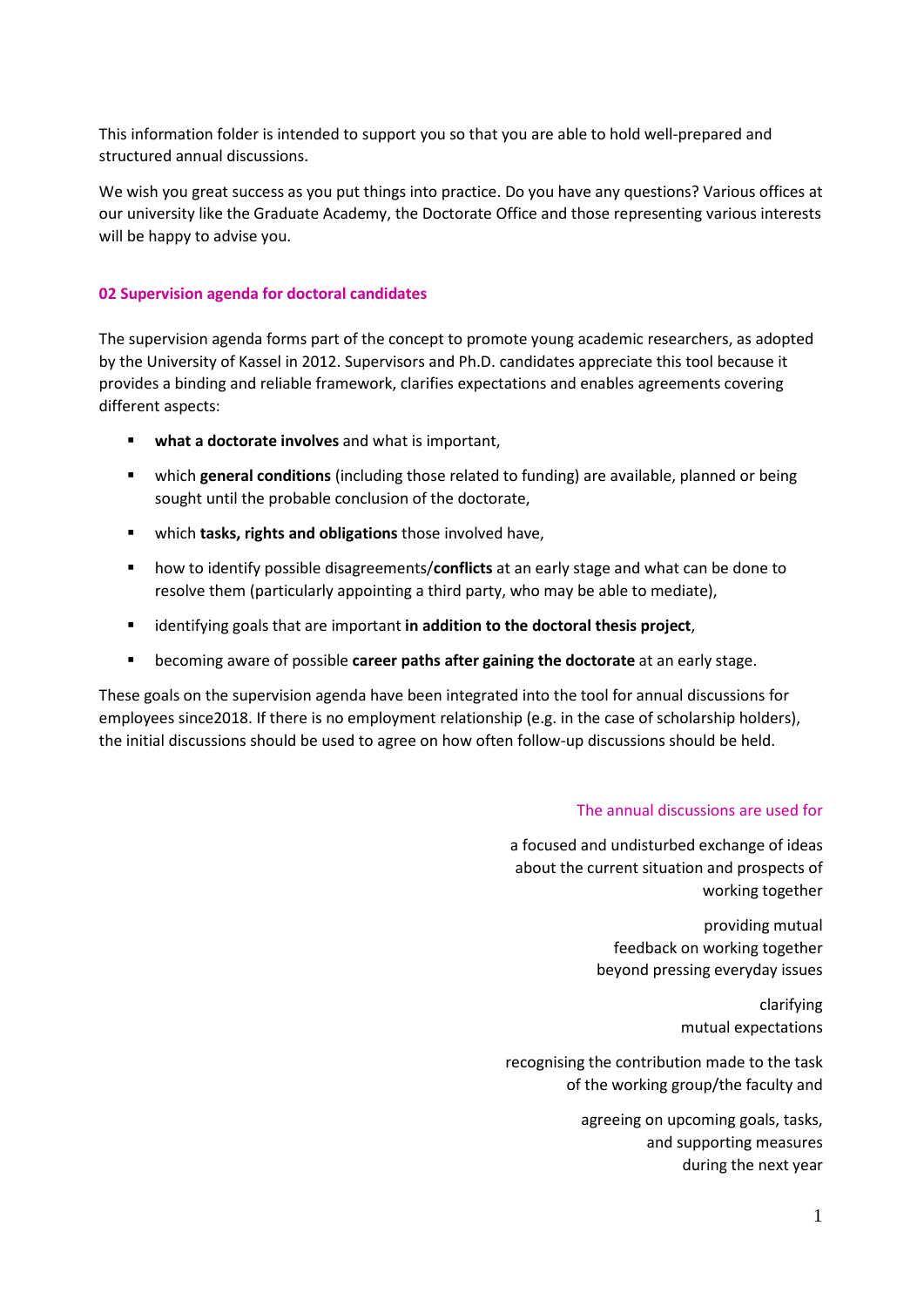This information folder is intended to support you so that you are able to hold well-prepared and structured annual discussions.

We wish you great success as you put things into practice. Do you have any questions? Various offices at our university like the Graduate Academy, the Doctorate Office and those representing various interests will be happy to advise you.

### **02 Supervision agenda for doctoral candidates**

The supervision agenda forms part of the concept to promote young academic researchers, as adopted by the University of Kassel in 2012. Supervisors and Ph.D. candidates appreciate this tool because it provides a binding and reliable framework, clarifies expectations and enables agreements covering different aspects:

- **what a doctorate involves** and what is important,
- which **general conditions** (including those related to funding) are available, planned or being sought until the probable conclusion of the doctorate,
- which **tasks, rights and obligations** those involved have,
- how to identify possible disagreements/**conflicts** at an early stage and what can be done to resolve them (particularly appointing a third party, who may be able to mediate),
- identifying goals that are important **in addition to the doctoral thesis project**,
- becoming aware of possible **career paths after gaining the doctorate** at an early stage.

These goals on the supervision agenda have been integrated into the tool for annual discussions for employees since2018. If there is no employment relationship (e.g. in the case of scholarship holders), the initial discussions should be used to agree on how often follow-up discussions should be held.

#### The annual discussions are used for

a focused and undisturbed exchange of ideas about the current situation and prospects of working together

> providing mutual feedback on working together beyond pressing everyday issues

> > clarifying mutual expectations

recognising the contribution made to the task of the working group/the faculty and

> agreeing on upcoming goals, tasks, and supporting measures during the next year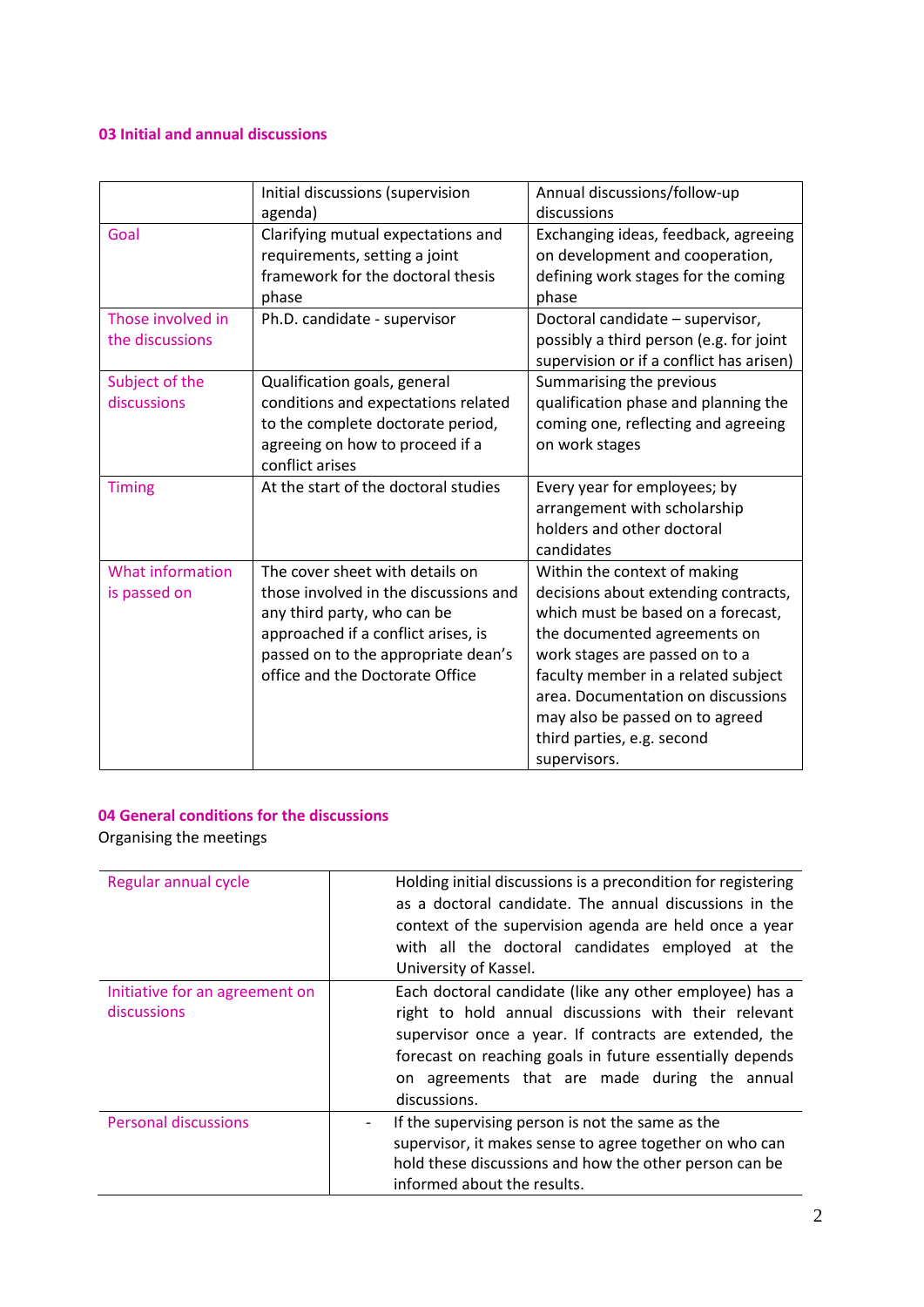# **03 Initial and annual discussions**

|                                         | Initial discussions (supervision<br>agenda)                                                                                                                                                                              | Annual discussions/follow-up<br>discussions                                                                                                                                                                                                                                                                                                |
|-----------------------------------------|--------------------------------------------------------------------------------------------------------------------------------------------------------------------------------------------------------------------------|--------------------------------------------------------------------------------------------------------------------------------------------------------------------------------------------------------------------------------------------------------------------------------------------------------------------------------------------|
| Goal                                    | Clarifying mutual expectations and<br>requirements, setting a joint<br>framework for the doctoral thesis<br>phase                                                                                                        | Exchanging ideas, feedback, agreeing<br>on development and cooperation,<br>defining work stages for the coming<br>phase                                                                                                                                                                                                                    |
| Those involved in<br>the discussions    | Ph.D. candidate - supervisor                                                                                                                                                                                             | Doctoral candidate - supervisor,<br>possibly a third person (e.g. for joint<br>supervision or if a conflict has arisen)                                                                                                                                                                                                                    |
| Subject of the<br>discussions           | Qualification goals, general<br>conditions and expectations related<br>to the complete doctorate period,<br>agreeing on how to proceed if a<br>conflict arises                                                           | Summarising the previous<br>qualification phase and planning the<br>coming one, reflecting and agreeing<br>on work stages                                                                                                                                                                                                                  |
| <b>Timing</b>                           | At the start of the doctoral studies                                                                                                                                                                                     | Every year for employees; by<br>arrangement with scholarship<br>holders and other doctoral<br>candidates                                                                                                                                                                                                                                   |
| <b>What information</b><br>is passed on | The cover sheet with details on<br>those involved in the discussions and<br>any third party, who can be<br>approached if a conflict arises, is<br>passed on to the appropriate dean's<br>office and the Doctorate Office | Within the context of making<br>decisions about extending contracts,<br>which must be based on a forecast,<br>the documented agreements on<br>work stages are passed on to a<br>faculty member in a related subject<br>area. Documentation on discussions<br>may also be passed on to agreed<br>third parties, e.g. second<br>supervisors. |

# **04 General conditions for the discussions**

Organising the meetings

| Regular annual cycle                          | Holding initial discussions is a precondition for registering<br>as a doctoral candidate. The annual discussions in the<br>context of the supervision agenda are held once a year<br>with all the doctoral candidates employed at the<br>University of Kassel.                                         |
|-----------------------------------------------|--------------------------------------------------------------------------------------------------------------------------------------------------------------------------------------------------------------------------------------------------------------------------------------------------------|
| Initiative for an agreement on<br>discussions | Each doctoral candidate (like any other employee) has a<br>right to hold annual discussions with their relevant<br>supervisor once a year. If contracts are extended, the<br>forecast on reaching goals in future essentially depends<br>on agreements that are made during the annual<br>discussions. |
| <b>Personal discussions</b>                   | If the supervising person is not the same as the<br>$\overline{\phantom{a}}$<br>supervisor, it makes sense to agree together on who can<br>hold these discussions and how the other person can be<br>informed about the results.                                                                       |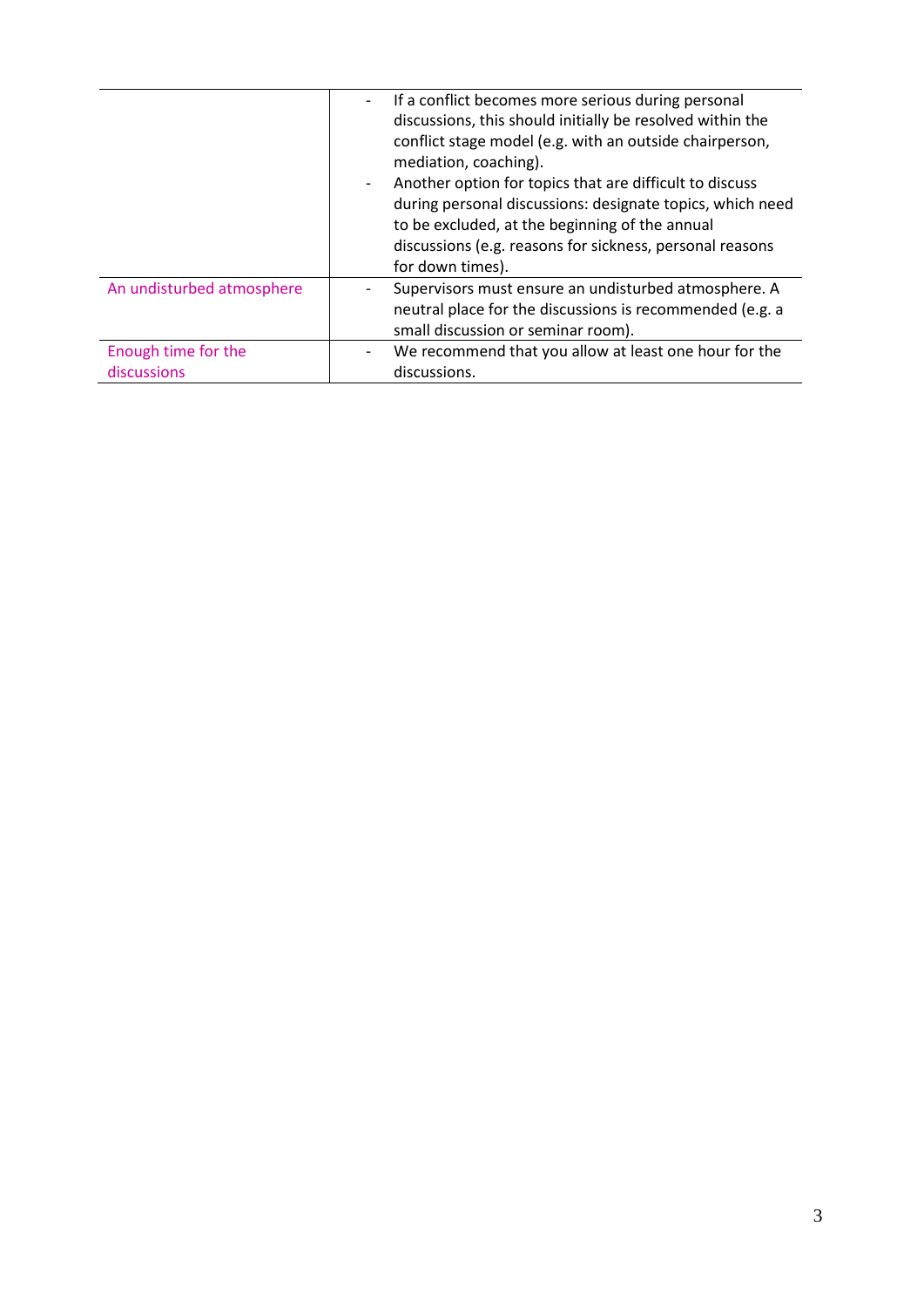|                                    | If a conflict becomes more serious during personal<br>$\overline{\phantom{a}}$<br>discussions, this should initially be resolved within the<br>conflict stage model (e.g. with an outside chairperson,<br>mediation, coaching).<br>Another option for topics that are difficult to discuss<br>$\overline{\phantom{a}}$<br>during personal discussions: designate topics, which need<br>to be excluded, at the beginning of the annual<br>discussions (e.g. reasons for sickness, personal reasons |
|------------------------------------|---------------------------------------------------------------------------------------------------------------------------------------------------------------------------------------------------------------------------------------------------------------------------------------------------------------------------------------------------------------------------------------------------------------------------------------------------------------------------------------------------|
| An undisturbed atmosphere          | for down times).<br>Supervisors must ensure an undisturbed atmosphere. A<br>neutral place for the discussions is recommended (e.g. a<br>small discussion or seminar room).                                                                                                                                                                                                                                                                                                                        |
| Enough time for the<br>discussions | We recommend that you allow at least one hour for the<br>$\overline{\phantom{a}}$<br>discussions.                                                                                                                                                                                                                                                                                                                                                                                                 |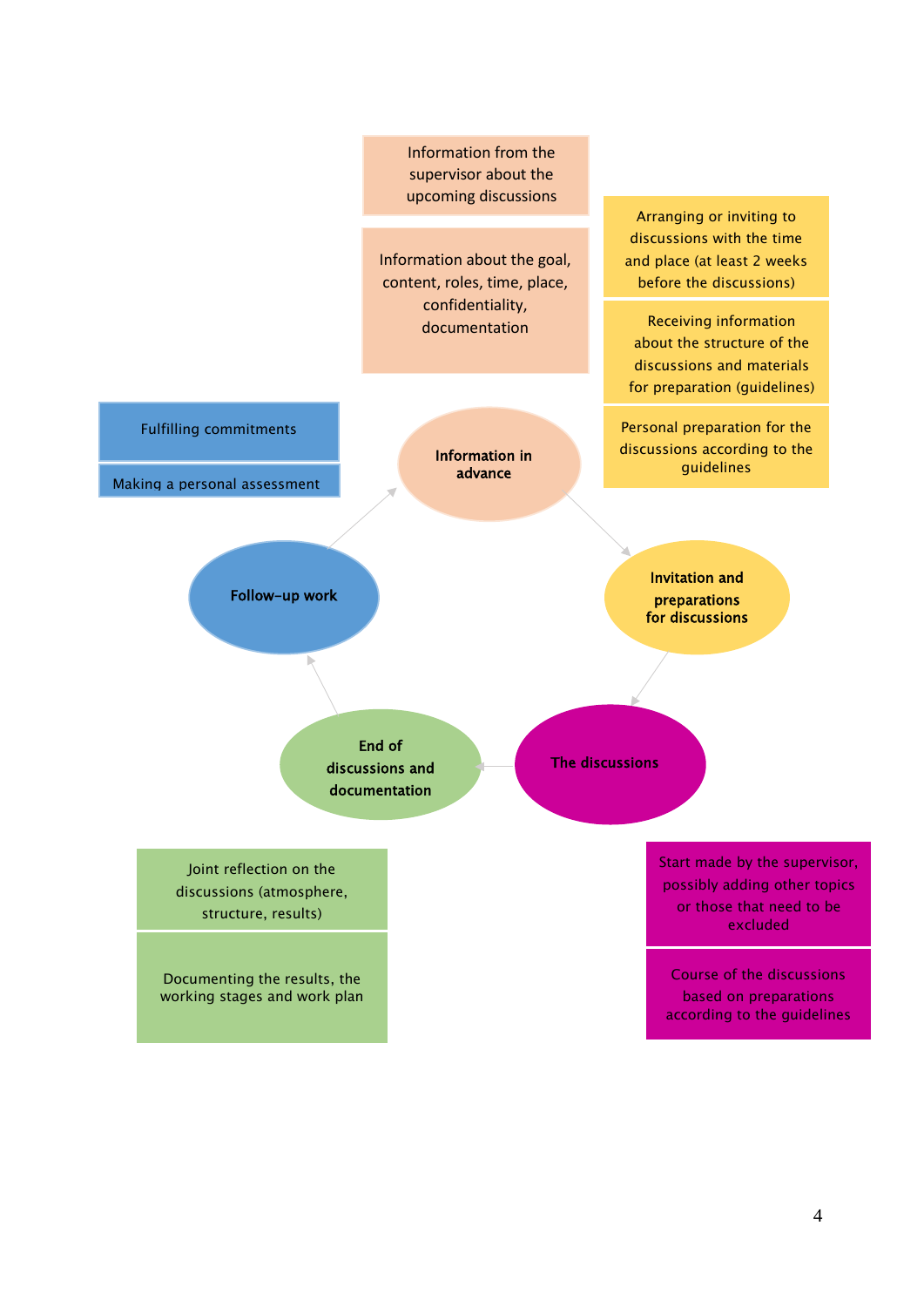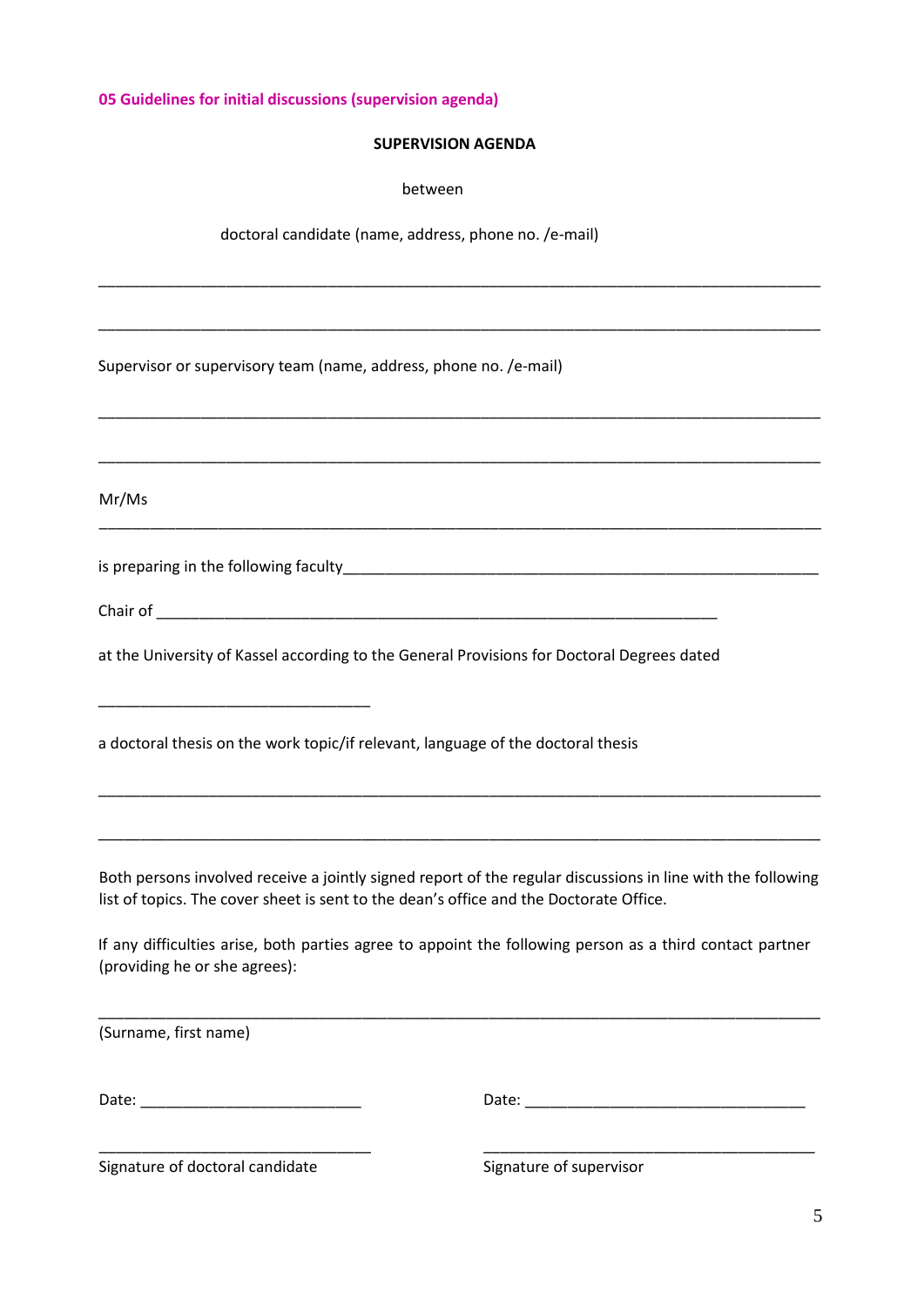**05 Guidelines for initial discussions (supervision agenda)**

### **SUPERVISION AGENDA**

\_\_\_\_\_\_\_\_\_\_\_\_\_\_\_\_\_\_\_\_\_\_\_\_\_\_\_\_\_\_\_\_\_\_\_\_\_\_\_\_\_\_\_\_\_\_\_\_\_\_\_\_\_\_\_\_\_\_\_\_\_\_\_\_\_\_\_\_\_\_\_\_\_\_\_\_\_\_\_\_\_\_\_\_\_

\_\_\_\_\_\_\_\_\_\_\_\_\_\_\_\_\_\_\_\_\_\_\_\_\_\_\_\_\_\_\_\_\_\_\_\_\_\_\_\_\_\_\_\_\_\_\_\_\_\_\_\_\_\_\_\_\_\_\_\_\_\_\_\_\_\_\_\_\_\_\_\_\_\_\_\_\_\_\_\_\_\_\_\_\_

\_\_\_\_\_\_\_\_\_\_\_\_\_\_\_\_\_\_\_\_\_\_\_\_\_\_\_\_\_\_\_\_\_\_\_\_\_\_\_\_\_\_\_\_\_\_\_\_\_\_\_\_\_\_\_\_\_\_\_\_\_\_\_\_\_\_\_\_\_\_\_\_\_\_\_\_\_\_\_\_\_\_\_\_\_

\_\_\_\_\_\_\_\_\_\_\_\_\_\_\_\_\_\_\_\_\_\_\_\_\_\_\_\_\_\_\_\_\_\_\_\_\_\_\_\_\_\_\_\_\_\_\_\_\_\_\_\_\_\_\_\_\_\_\_\_\_\_\_\_\_\_\_\_\_\_\_\_\_\_\_\_\_\_\_\_\_\_\_\_\_

\_\_\_\_\_\_\_\_\_\_\_\_\_\_\_\_\_\_\_\_\_\_\_\_\_\_\_\_\_\_\_\_\_\_\_\_\_\_\_\_\_\_\_\_\_\_\_\_\_\_\_\_\_\_\_\_\_\_\_\_\_\_\_\_\_\_\_\_\_\_\_\_\_\_\_\_\_\_\_\_\_\_\_\_\_

between

doctoral candidate (name, address, phone no. /e-mail)

Supervisor or supervisory team (name, address, phone no. /e-mail)

Mr/Ms

is preparing in the following faculty\_\_\_\_\_\_\_\_\_\_\_\_\_\_\_\_\_\_\_\_\_\_\_\_\_\_\_\_\_\_\_\_\_\_\_\_\_\_\_\_\_\_\_\_\_\_\_\_\_\_\_\_\_\_\_\_

\_\_\_\_\_\_\_\_\_\_\_\_\_\_\_\_\_\_\_\_\_\_\_\_\_\_\_\_\_\_\_\_

| Chair of |  |  |  |
|----------|--|--|--|
|          |  |  |  |

at the University of Kassel according to the General Provisions for Doctoral Degrees dated

a doctoral thesis on the work topic/if relevant, language of the doctoral thesis

Both persons involved receive a jointly signed report of the regular discussions in line with the following list of topics. The cover sheet is sent to the dean's office and the Doctorate Office.

\_\_\_\_\_\_\_\_\_\_\_\_\_\_\_\_\_\_\_\_\_\_\_\_\_\_\_\_\_\_\_\_\_\_\_\_\_\_\_\_\_\_\_\_\_\_\_\_\_\_\_\_\_\_\_\_\_\_\_\_\_\_\_\_\_\_\_\_\_\_\_\_\_\_\_\_\_\_\_\_\_\_\_\_\_

\_\_\_\_\_\_\_\_\_\_\_\_\_\_\_\_\_\_\_\_\_\_\_\_\_\_\_\_\_\_\_\_\_\_\_\_\_\_\_\_\_\_\_\_\_\_\_\_\_\_\_\_\_\_\_\_\_\_\_\_\_\_\_\_\_\_\_\_\_\_\_\_\_\_\_\_\_\_\_\_\_\_\_\_\_

If any difficulties arise, both parties agree to appoint the following person as a third contact partner (providing he or she agrees):

\_\_\_\_\_\_\_\_\_\_\_\_\_\_\_\_\_\_\_\_\_\_\_\_\_\_\_\_\_\_\_\_\_\_\_\_\_\_\_\_\_\_\_\_\_\_\_\_\_\_\_\_\_\_\_\_\_\_\_\_\_\_\_\_\_\_\_\_\_\_\_\_\_\_\_\_\_\_\_\_\_\_\_\_\_ (Surname, first name) Date: \_\_\_\_\_\_\_\_\_\_\_\_\_\_\_\_\_\_\_\_\_\_\_\_\_\_ Date: \_\_\_\_\_\_\_\_\_\_\_\_\_\_\_\_\_\_\_\_\_\_\_\_\_\_\_\_\_\_\_\_\_ \_\_\_\_\_\_\_\_\_\_\_\_\_\_\_\_\_\_\_\_\_\_\_\_\_\_\_\_\_\_\_\_ \_\_\_\_\_\_\_\_\_\_\_\_\_\_\_\_\_\_\_\_\_\_\_\_\_\_\_\_\_\_\_\_\_\_\_\_\_\_\_ Signature of doctoral candidate Signature of supervisor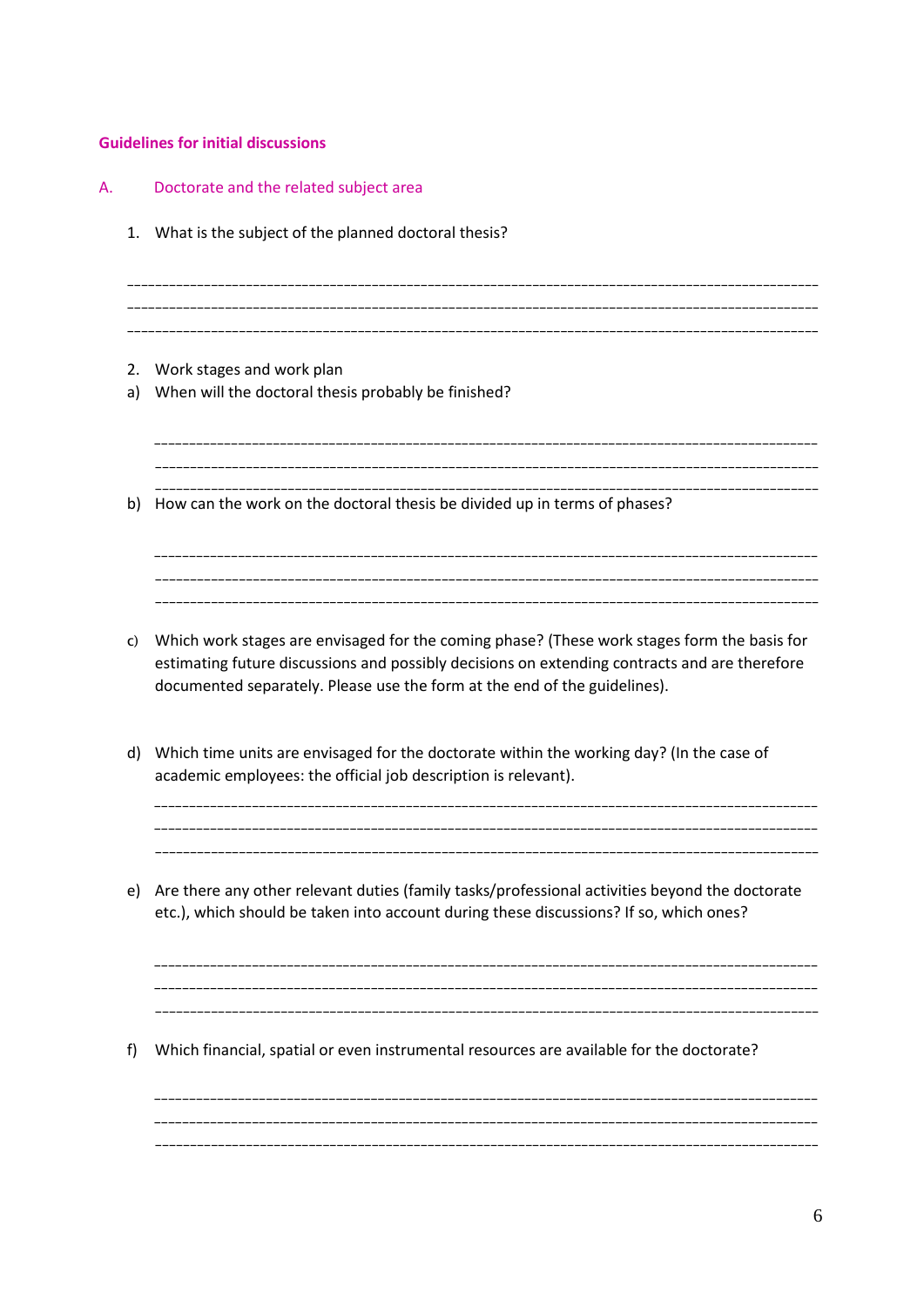# **Guidelines for initial discussions**

| Α. |              | Doctorate and the related subject area                                                                                                                                                                                                                                    |
|----|--------------|---------------------------------------------------------------------------------------------------------------------------------------------------------------------------------------------------------------------------------------------------------------------------|
|    | 1.           | What is the subject of the planned doctoral thesis?                                                                                                                                                                                                                       |
|    | 2.<br>a)     | Work stages and work plan<br>When will the doctoral thesis probably be finished?                                                                                                                                                                                          |
|    | b)           | How can the work on the doctoral thesis be divided up in terms of phases?                                                                                                                                                                                                 |
|    | $\mathsf{C}$ | Which work stages are envisaged for the coming phase? (These work stages form the basis for<br>estimating future discussions and possibly decisions on extending contracts and are therefore<br>documented separately. Please use the form at the end of the guidelines). |
|    | d)           | Which time units are envisaged for the doctorate within the working day? (In the case of<br>academic employees: the official job description is relevant).                                                                                                                |
|    | e)           | Are there any other relevant duties (family tasks/professional activities beyond the doctorate<br>etc.), which should be taken into account during these discussions? If so, which ones?                                                                                  |
| f) |              | Which financial, spatial or even instrumental resources are available for the doctorate?                                                                                                                                                                                  |
|    |              |                                                                                                                                                                                                                                                                           |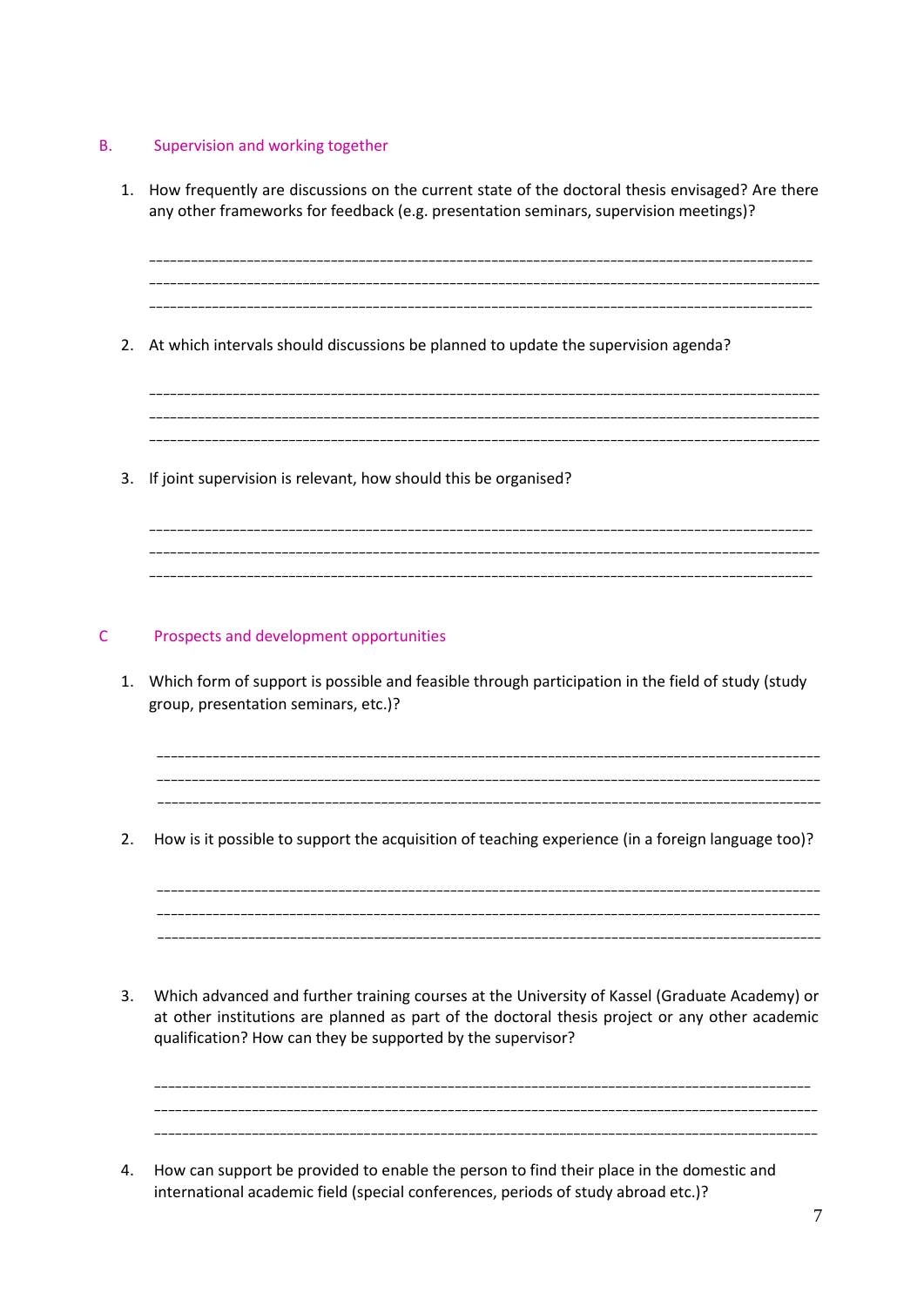# B. Supervision and working together

- 1. How frequently are discussions on the current state of the doctoral thesis envisaged? Are there any other frameworks for feedback (e.g. presentation seminars, supervision meetings)? \_\_\_\_\_\_\_\_\_\_\_\_\_\_\_\_\_\_\_\_\_\_\_\_\_\_\_\_\_\_\_\_\_\_\_\_\_\_\_\_\_\_\_\_\_\_\_\_\_\_\_\_\_\_\_\_\_\_\_\_\_\_\_\_\_\_\_\_\_\_\_\_\_\_\_\_\_\_\_\_\_\_\_\_\_\_\_\_\_\_\_\_\_\_\_ \_\_\_\_\_\_\_\_\_\_\_\_\_\_\_\_\_\_\_\_\_\_\_\_\_\_\_\_\_\_\_\_\_\_\_\_\_\_\_\_\_\_\_\_\_\_\_\_\_\_\_\_\_\_\_\_\_\_\_\_\_\_\_\_\_\_\_\_\_\_\_\_\_\_\_\_\_\_\_\_\_\_\_\_\_\_\_\_\_\_\_\_\_\_\_\_ \_\_\_\_\_\_\_\_\_\_\_\_\_\_\_\_\_\_\_\_\_\_\_\_\_\_\_\_\_\_\_\_\_\_\_\_\_\_\_\_\_\_\_\_\_\_\_\_\_\_\_\_\_\_\_\_\_\_\_\_\_\_\_\_\_\_\_\_\_\_\_\_\_\_\_\_\_\_\_\_\_\_\_\_\_\_\_\_\_\_\_\_\_\_\_ 2. At which intervals should discussions be planned to update the supervision agenda? \_\_\_\_\_\_\_\_\_\_\_\_\_\_\_\_\_\_\_\_\_\_\_\_\_\_\_\_\_\_\_\_\_\_\_\_\_\_\_\_\_\_\_\_\_\_\_\_\_\_\_\_\_\_\_\_\_\_\_\_\_\_\_\_\_\_\_\_\_\_\_\_\_\_\_\_\_\_\_\_\_\_\_\_\_\_\_\_\_\_\_\_\_\_\_\_ \_\_\_\_\_\_\_\_\_\_\_\_\_\_\_\_\_\_\_\_\_\_\_\_\_\_\_\_\_\_\_\_\_\_\_\_\_\_\_\_\_\_\_\_\_\_\_\_\_\_\_\_\_\_\_\_\_\_\_\_\_\_\_\_\_\_\_\_\_\_\_\_\_\_\_\_\_\_\_\_\_\_\_\_\_\_\_\_\_\_\_\_\_\_\_\_ \_\_\_\_\_\_\_\_\_\_\_\_\_\_\_\_\_\_\_\_\_\_\_\_\_\_\_\_\_\_\_\_\_\_\_\_\_\_\_\_\_\_\_\_\_\_\_\_\_\_\_\_\_\_\_\_\_\_\_\_\_\_\_\_\_\_\_\_\_\_\_\_\_\_\_\_\_\_\_\_\_\_\_\_\_\_\_\_\_\_\_\_\_\_\_\_ 3. If joint supervision is relevant, how should this be organised? \_\_\_\_\_\_\_\_\_\_\_\_\_\_\_\_\_\_\_\_\_\_\_\_\_\_\_\_\_\_\_\_\_\_\_\_\_\_\_\_\_\_\_\_\_\_\_\_\_\_\_\_\_\_\_\_\_\_\_\_\_\_\_\_\_\_\_\_\_\_\_\_\_\_\_\_\_\_\_\_\_\_\_\_\_\_\_\_\_\_\_\_\_\_\_ \_\_\_\_\_\_\_\_\_\_\_\_\_\_\_\_\_\_\_\_\_\_\_\_\_\_\_\_\_\_\_\_\_\_\_\_\_\_\_\_\_\_\_\_\_\_\_\_\_\_\_\_\_\_\_\_\_\_\_\_\_\_\_\_\_\_\_\_\_\_\_\_\_\_\_\_\_\_\_\_\_\_\_\_\_\_\_\_\_\_\_\_\_\_\_\_ \_\_\_\_\_\_\_\_\_\_\_\_\_\_\_\_\_\_\_\_\_\_\_\_\_\_\_\_\_\_\_\_\_\_\_\_\_\_\_\_\_\_\_\_\_\_\_\_\_\_\_\_\_\_\_\_\_\_\_\_\_\_\_\_\_\_\_\_\_\_\_\_\_\_\_\_\_\_\_\_\_\_\_\_\_\_\_\_\_\_\_\_\_\_\_ C Prospects and development opportunities 1. Which form of support is possible and feasible through participation in the field of study (study group, presentation seminars, etc.)? \_\_\_\_\_\_\_\_\_\_\_\_\_\_\_\_\_\_\_\_\_\_\_\_\_\_\_\_\_\_\_\_\_\_\_\_\_\_\_\_\_\_\_\_\_\_\_\_\_\_\_\_\_\_\_\_\_\_\_\_\_\_\_\_\_\_\_\_\_\_\_\_\_\_\_\_\_\_\_\_\_\_\_\_\_\_\_\_\_\_\_\_\_\_\_ \_\_\_\_\_\_\_\_\_\_\_\_\_\_\_\_\_\_\_\_\_\_\_\_\_\_\_\_\_\_\_\_\_\_\_\_\_\_\_\_\_\_\_\_\_\_\_\_\_\_\_\_\_\_\_\_\_\_\_\_\_\_\_\_\_\_\_\_\_\_\_\_\_\_\_\_\_\_\_\_\_\_\_\_\_\_\_\_\_\_\_\_\_\_\_ 2. How is it possible to support the acquisition of teaching experience (in a foreign language too)? \_\_\_\_\_\_\_\_\_\_\_\_\_\_\_\_\_\_\_\_\_\_\_\_\_\_\_\_\_\_\_\_\_\_\_\_\_\_\_\_\_\_\_\_\_\_\_\_\_\_\_\_\_\_\_\_\_\_\_\_\_\_\_\_\_\_\_\_\_\_\_\_\_\_\_\_\_\_\_\_\_\_\_\_\_\_\_\_\_\_\_\_\_\_\_ \_\_\_\_\_\_\_\_\_\_\_\_\_\_\_\_\_\_\_\_\_\_\_\_\_\_\_\_\_\_\_\_\_\_\_\_\_\_\_\_\_\_\_\_\_\_\_\_\_\_\_\_\_\_\_\_\_\_\_\_\_\_\_\_\_\_\_\_\_\_\_\_\_\_\_\_\_\_\_\_\_\_\_\_\_\_\_\_\_\_\_\_\_\_\_ \_\_\_\_\_\_\_\_\_\_\_\_\_\_\_\_\_\_\_\_\_\_\_\_\_\_\_\_\_\_\_\_\_\_\_\_\_\_\_\_\_\_\_\_\_\_\_\_\_\_\_\_\_\_\_\_\_\_\_\_\_\_\_\_\_\_\_\_\_\_\_\_\_\_\_\_\_\_\_\_\_\_\_\_\_\_\_\_\_\_\_\_\_\_\_ 3. Which advanced and further training courses at the University of Kassel (Graduate Academy) or at other institutions are planned as part of the doctoral thesis project or any other academic qualification? How can they be supported by the supervisor? \_\_\_\_\_\_\_\_\_\_\_\_\_\_\_\_\_\_\_\_\_\_\_\_\_\_\_\_\_\_\_\_\_\_\_\_\_\_\_\_\_\_\_\_\_\_\_\_\_\_\_\_\_\_\_\_\_\_\_\_\_\_\_\_\_\_\_\_\_\_\_\_\_\_\_\_\_\_\_\_\_\_\_\_\_\_\_\_\_\_\_\_\_\_  $\mathcal{L}_\mathcal{L} = \mathcal{L}_\mathcal{L}$ 
	- 4. How can support be provided to enable the person to find their place in the domestic and international academic field (special conferences, periods of study abroad etc.)?

\_\_\_\_\_\_\_\_\_\_\_\_\_\_\_\_\_\_\_\_\_\_\_\_\_\_\_\_\_\_\_\_\_\_\_\_\_\_\_\_\_\_\_\_\_\_\_\_\_\_\_\_\_\_\_\_\_\_\_\_\_\_\_\_\_\_\_\_\_\_\_\_\_\_\_\_\_\_\_\_\_\_\_\_\_\_\_\_\_\_\_\_\_\_\_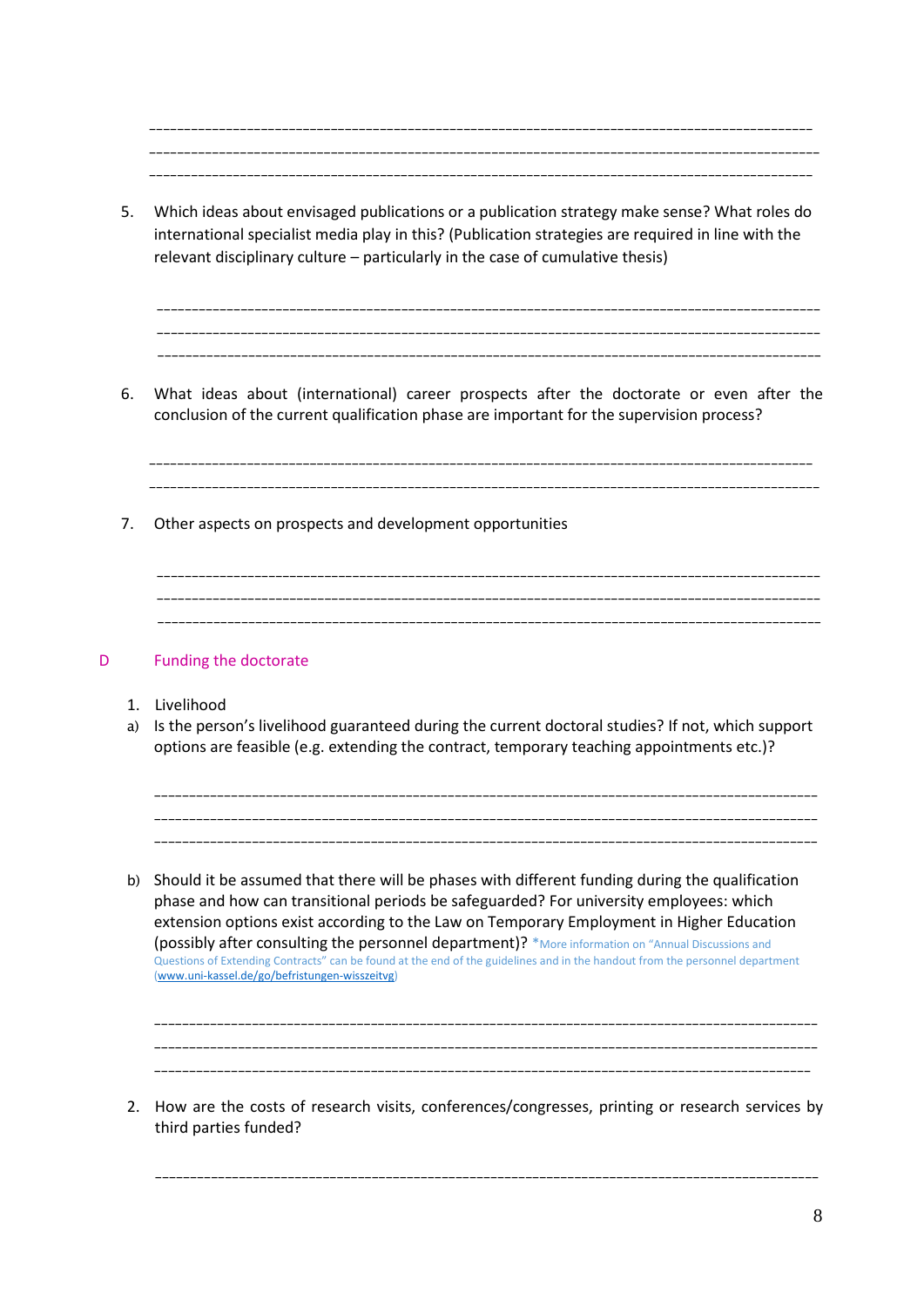\_\_\_\_\_\_\_\_\_\_\_\_\_\_\_\_\_\_\_\_\_\_\_\_\_\_\_\_\_\_\_\_\_\_\_\_\_\_\_\_\_\_\_\_\_\_\_\_\_\_\_\_\_\_\_\_\_\_\_\_\_\_\_\_\_\_\_\_\_\_\_\_\_\_\_\_\_\_\_\_\_\_\_\_\_\_\_\_\_\_\_\_\_\_\_ \_\_\_\_\_\_\_\_\_\_\_\_\_\_\_\_\_\_\_\_\_\_\_\_\_\_\_\_\_\_\_\_\_\_\_\_\_\_\_\_\_\_\_\_\_\_\_\_\_\_\_\_\_\_\_\_\_\_\_\_\_\_\_\_\_\_\_\_\_\_\_\_\_\_\_\_\_\_\_\_\_\_\_\_\_\_\_\_\_\_\_\_\_\_\_\_ \_\_\_\_\_\_\_\_\_\_\_\_\_\_\_\_\_\_\_\_\_\_\_\_\_\_\_\_\_\_\_\_\_\_\_\_\_\_\_\_\_\_\_\_\_\_\_\_\_\_\_\_\_\_\_\_\_\_\_\_\_\_\_\_\_\_\_\_\_\_\_\_\_\_\_\_\_\_\_\_\_\_\_\_\_\_\_\_\_\_\_\_\_\_\_

5. Which ideas about envisaged publications or a publication strategy make sense? What roles do international specialist media play in this? (Publication strategies are required in line with the relevant disciplinary culture – particularly in the case of cumulative thesis)

\_\_\_\_\_\_\_\_\_\_\_\_\_\_\_\_\_\_\_\_\_\_\_\_\_\_\_\_\_\_\_\_\_\_\_\_\_\_\_\_\_\_\_\_\_\_\_\_\_\_\_\_\_\_\_\_\_\_\_\_\_\_\_\_\_\_\_\_\_\_\_\_\_\_\_\_\_\_\_\_\_\_\_\_\_\_\_\_\_\_\_\_\_\_\_ \_\_\_\_\_\_\_\_\_\_\_\_\_\_\_\_\_\_\_\_\_\_\_\_\_\_\_\_\_\_\_\_\_\_\_\_\_\_\_\_\_\_\_\_\_\_\_\_\_\_\_\_\_\_\_\_\_\_\_\_\_\_\_\_\_\_\_\_\_\_\_\_\_\_\_\_\_\_\_\_\_\_\_\_\_\_\_\_\_\_\_\_\_\_\_ \_\_\_\_\_\_\_\_\_\_\_\_\_\_\_\_\_\_\_\_\_\_\_\_\_\_\_\_\_\_\_\_\_\_\_\_\_\_\_\_\_\_\_\_\_\_\_\_\_\_\_\_\_\_\_\_\_\_\_\_\_\_\_\_\_\_\_\_\_\_\_\_\_\_\_\_\_\_\_\_\_\_\_\_\_\_\_\_\_\_\_\_\_\_\_

6. What ideas about (international) career prospects after the doctorate or even after the conclusion of the current qualification phase are important for the supervision process?

\_\_\_\_\_\_\_\_\_\_\_\_\_\_\_\_\_\_\_\_\_\_\_\_\_\_\_\_\_\_\_\_\_\_\_\_\_\_\_\_\_\_\_\_\_\_\_\_\_\_\_\_\_\_\_\_\_\_\_\_\_\_\_\_\_\_\_\_\_\_\_\_\_\_\_\_\_\_\_\_\_\_\_\_\_\_\_\_\_\_\_\_\_\_\_ \_\_\_\_\_\_\_\_\_\_\_\_\_\_\_\_\_\_\_\_\_\_\_\_\_\_\_\_\_\_\_\_\_\_\_\_\_\_\_\_\_\_\_\_\_\_\_\_\_\_\_\_\_\_\_\_\_\_\_\_\_\_\_\_\_\_\_\_\_\_\_\_\_\_\_\_\_\_\_\_\_\_\_\_\_\_\_\_\_\_\_\_\_\_\_\_

7. Other aspects on prospects and development opportunities

\_\_\_\_\_\_\_\_\_\_\_\_\_\_\_\_\_\_\_\_\_\_\_\_\_\_\_\_\_\_\_\_\_\_\_\_\_\_\_\_\_\_\_\_\_\_\_\_\_\_\_\_\_\_\_\_\_\_\_\_\_\_\_\_\_\_\_\_\_\_\_\_\_\_\_\_\_\_\_\_\_\_\_\_\_\_\_\_\_\_\_\_\_\_\_ \_\_\_\_\_\_\_\_\_\_\_\_\_\_\_\_\_\_\_\_\_\_\_\_\_\_\_\_\_\_\_\_\_\_\_\_\_\_\_\_\_\_\_\_\_\_\_\_\_\_\_\_\_\_\_\_\_\_\_\_\_\_\_\_\_\_\_\_\_\_\_\_\_\_\_\_\_\_\_\_\_\_\_\_\_\_\_\_\_\_\_\_\_\_\_ \_\_\_\_\_\_\_\_\_\_\_\_\_\_\_\_\_\_\_\_\_\_\_\_\_\_\_\_\_\_\_\_\_\_\_\_\_\_\_\_\_\_\_\_\_\_\_\_\_\_\_\_\_\_\_\_\_\_\_\_\_\_\_\_\_\_\_\_\_\_\_\_\_\_\_\_\_\_\_\_\_\_\_\_\_\_\_\_\_\_\_\_\_\_\_

# D Funding the doctorate

- 1. Livelihood
- a) Is the person's livelihood guaranteed during the current doctoral studies? If not, which support options are feasible (e.g. extending the contract, temporary teaching appointments etc.)?

\_\_\_\_\_\_\_\_\_\_\_\_\_\_\_\_\_\_\_\_\_\_\_\_\_\_\_\_\_\_\_\_\_\_\_\_\_\_\_\_\_\_\_\_\_\_\_\_\_\_\_\_\_\_\_\_\_\_\_\_\_\_\_\_\_\_\_\_\_\_\_\_\_\_\_\_\_\_\_\_\_\_\_\_\_\_\_\_\_\_\_\_\_\_\_ \_\_\_\_\_\_\_\_\_\_\_\_\_\_\_\_\_\_\_\_\_\_\_\_\_\_\_\_\_\_\_\_\_\_\_\_\_\_\_\_\_\_\_\_\_\_\_\_\_\_\_\_\_\_\_\_\_\_\_\_\_\_\_\_\_\_\_\_\_\_\_\_\_\_\_\_\_\_\_\_\_\_\_\_\_\_\_\_\_\_\_\_\_\_\_

\_\_\_\_\_\_\_\_\_\_\_\_\_\_\_\_\_\_\_\_\_\_\_\_\_\_\_\_\_\_\_\_\_\_\_\_\_\_\_\_\_\_\_\_\_\_\_\_\_\_\_\_\_\_\_\_\_\_\_\_\_\_\_\_\_\_\_\_\_\_\_\_\_\_\_\_\_\_\_\_\_\_\_\_\_\_\_\_\_\_\_\_\_\_\_

b) Should it be assumed that there will be phases with different funding during the qualification phase and how can transitional periods be safeguarded? For university employees: which extension options exist according to the Law on Temporary Employment in Higher Education (possibly after consulting the personnel department)? \*More information on "Annual Discussions and Questions of Extending Contracts" can be found at the end of the guidelines and in the handout from the personnel department [\(www.uni-kassel.de/go/befristungen-wisszeitvg\)](http://www.uni-kassel.de/go/befristungen-wisszeitvg)



2. How are the costs of research visits, conferences/congresses, printing or research services by third parties funded?

\_\_\_\_\_\_\_\_\_\_\_\_\_\_\_\_\_\_\_\_\_\_\_\_\_\_\_\_\_\_\_\_\_\_\_\_\_\_\_\_\_\_\_\_\_\_\_\_\_\_\_\_\_\_\_\_\_\_\_\_\_\_\_\_\_\_\_\_\_\_\_\_\_\_\_\_\_\_\_\_\_\_\_\_\_\_\_\_\_\_\_\_\_\_\_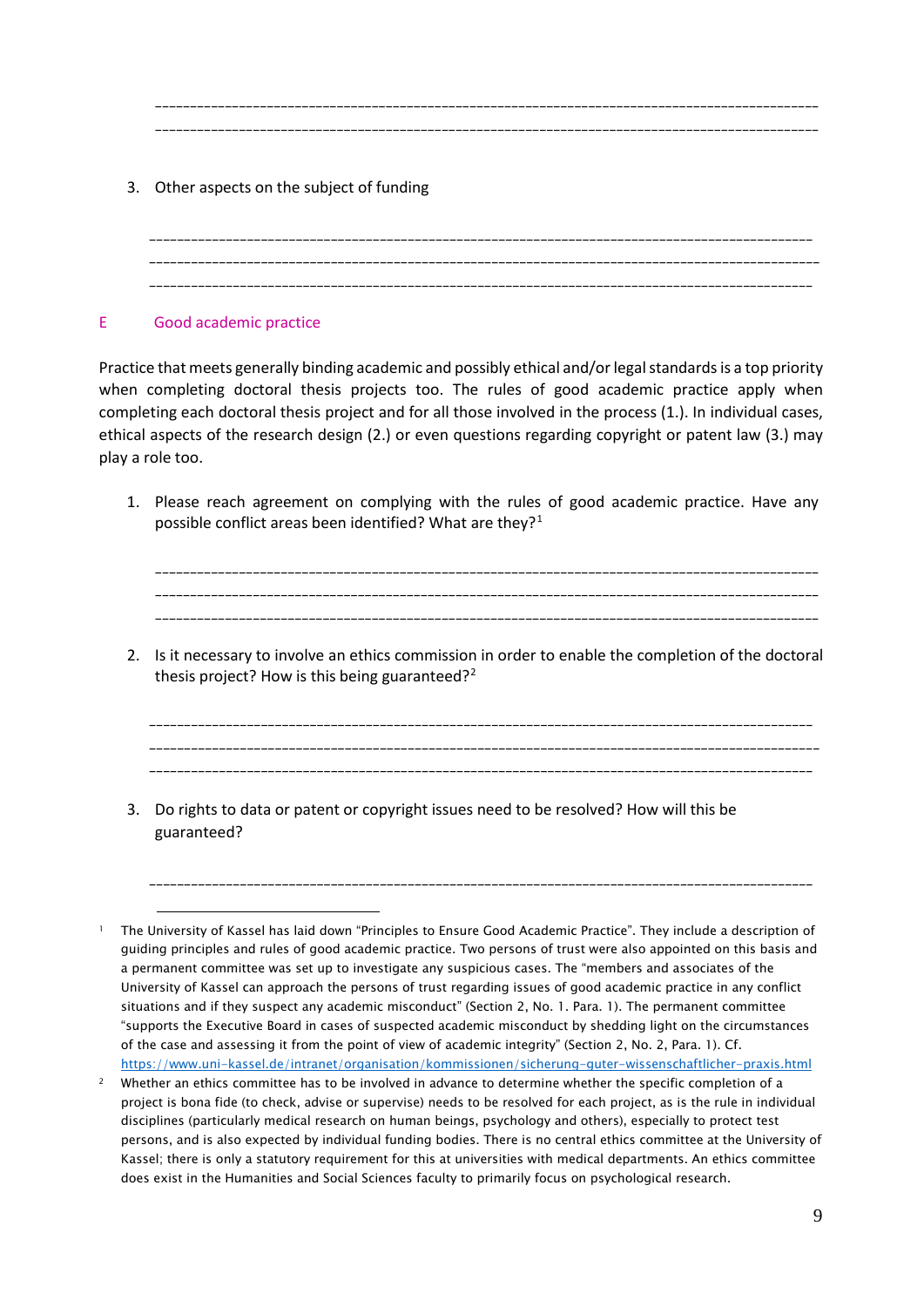3. Other aspects on the subject of funding

\_\_\_\_\_\_\_\_\_\_\_\_\_\_\_\_\_\_\_\_\_\_\_\_\_\_\_\_\_\_\_\_\_\_\_\_\_\_\_\_\_\_\_\_\_\_\_\_\_\_\_\_\_\_\_\_\_\_\_\_\_\_\_\_\_\_\_\_\_\_\_\_\_\_\_\_\_\_\_\_\_\_\_\_\_\_\_\_\_\_\_\_\_\_\_ \_\_\_\_\_\_\_\_\_\_\_\_\_\_\_\_\_\_\_\_\_\_\_\_\_\_\_\_\_\_\_\_\_\_\_\_\_\_\_\_\_\_\_\_\_\_\_\_\_\_\_\_\_\_\_\_\_\_\_\_\_\_\_\_\_\_\_\_\_\_\_\_\_\_\_\_\_\_\_\_\_\_\_\_\_\_\_\_\_\_\_\_\_\_\_\_ \_\_\_\_\_\_\_\_\_\_\_\_\_\_\_\_\_\_\_\_\_\_\_\_\_\_\_\_\_\_\_\_\_\_\_\_\_\_\_\_\_\_\_\_\_\_\_\_\_\_\_\_\_\_\_\_\_\_\_\_\_\_\_\_\_\_\_\_\_\_\_\_\_\_\_\_\_\_\_\_\_\_\_\_\_\_\_\_\_\_\_\_\_\_\_

\_\_\_\_\_\_\_\_\_\_\_\_\_\_\_\_\_\_\_\_\_\_\_\_\_\_\_\_\_\_\_\_\_\_\_\_\_\_\_\_\_\_\_\_\_\_\_\_\_\_\_\_\_\_\_\_\_\_\_\_\_\_\_\_\_\_\_\_\_\_\_\_\_\_\_\_\_\_\_\_\_\_\_\_\_\_\_\_\_\_\_\_\_\_\_ \_\_\_\_\_\_\_\_\_\_\_\_\_\_\_\_\_\_\_\_\_\_\_\_\_\_\_\_\_\_\_\_\_\_\_\_\_\_\_\_\_\_\_\_\_\_\_\_\_\_\_\_\_\_\_\_\_\_\_\_\_\_\_\_\_\_\_\_\_\_\_\_\_\_\_\_\_\_\_\_\_\_\_\_\_\_\_\_\_\_\_\_\_\_\_

# E Good academic practice

i,

Practice that meets generally binding academic and possibly ethical and/or legal standards is a top priority when completing doctoral thesis projects too. The rules of good academic practice apply when completing each doctoral thesis project and for all those involved in the process (1.). In individual cases, ethical aspects of the research design (2.) or even questions regarding copyright or patent law (3.) may play a role too.

1. Please reach agreement on complying with the rules of good academic practice. Have any possible conflict areas been identified? What are they?<sup>[1](#page-9-0)</sup>

\_\_\_\_\_\_\_\_\_\_\_\_\_\_\_\_\_\_\_\_\_\_\_\_\_\_\_\_\_\_\_\_\_\_\_\_\_\_\_\_\_\_\_\_\_\_\_\_\_\_\_\_\_\_\_\_\_\_\_\_\_\_\_\_\_\_\_\_\_\_\_\_\_\_\_\_\_\_\_\_\_\_\_\_\_\_\_\_\_\_\_\_\_\_\_ \_\_\_\_\_\_\_\_\_\_\_\_\_\_\_\_\_\_\_\_\_\_\_\_\_\_\_\_\_\_\_\_\_\_\_\_\_\_\_\_\_\_\_\_\_\_\_\_\_\_\_\_\_\_\_\_\_\_\_\_\_\_\_\_\_\_\_\_\_\_\_\_\_\_\_\_\_\_\_\_\_\_\_\_\_\_\_\_\_\_\_\_\_\_\_ \_\_\_\_\_\_\_\_\_\_\_\_\_\_\_\_\_\_\_\_\_\_\_\_\_\_\_\_\_\_\_\_\_\_\_\_\_\_\_\_\_\_\_\_\_\_\_\_\_\_\_\_\_\_\_\_\_\_\_\_\_\_\_\_\_\_\_\_\_\_\_\_\_\_\_\_\_\_\_\_\_\_\_\_\_\_\_\_\_\_\_\_\_\_\_

2. Is it necessary to involve an ethics commission in order to enable the completion of the doctoral thesis project? How is this being guaranteed?<sup>[2](#page-9-1)</sup>

\_\_\_\_\_\_\_\_\_\_\_\_\_\_\_\_\_\_\_\_\_\_\_\_\_\_\_\_\_\_\_\_\_\_\_\_\_\_\_\_\_\_\_\_\_\_\_\_\_\_\_\_\_\_\_\_\_\_\_\_\_\_\_\_\_\_\_\_\_\_\_\_\_\_\_\_\_\_\_\_\_\_\_\_\_\_\_\_\_\_\_\_\_\_\_ \_\_\_\_\_\_\_\_\_\_\_\_\_\_\_\_\_\_\_\_\_\_\_\_\_\_\_\_\_\_\_\_\_\_\_\_\_\_\_\_\_\_\_\_\_\_\_\_\_\_\_\_\_\_\_\_\_\_\_\_\_\_\_\_\_\_\_\_\_\_\_\_\_\_\_\_\_\_\_\_\_\_\_\_\_\_\_\_\_\_\_\_\_\_\_\_ \_\_\_\_\_\_\_\_\_\_\_\_\_\_\_\_\_\_\_\_\_\_\_\_\_\_\_\_\_\_\_\_\_\_\_\_\_\_\_\_\_\_\_\_\_\_\_\_\_\_\_\_\_\_\_\_\_\_\_\_\_\_\_\_\_\_\_\_\_\_\_\_\_\_\_\_\_\_\_\_\_\_\_\_\_\_\_\_\_\_\_\_\_\_\_

\_\_\_\_\_\_\_\_\_\_\_\_\_\_\_\_\_\_\_\_\_\_\_\_\_\_\_\_\_\_\_\_\_\_\_\_\_\_\_\_\_\_\_\_\_\_\_\_\_\_\_\_\_\_\_\_\_\_\_\_\_\_\_\_\_\_\_\_\_\_\_\_\_\_\_\_\_\_\_\_\_\_\_\_\_\_\_\_\_\_\_\_\_\_\_

3. Do rights to data or patent or copyright issues need to be resolved? How will this be guaranteed?

<span id="page-9-0"></span><sup>1</sup> The University of Kassel has laid down "Principles to Ensure Good Academic Practice". They include a description of guiding principles and rules of good academic practice. Two persons of trust were also appointed on this basis and a permanent committee was set up to investigate any suspicious cases. The "members and associates of the University of Kassel can approach the persons of trust regarding issues of good academic practice in any conflict situations and if they suspect any academic misconduct" (Section 2, No. 1. Para. 1). The permanent committee "supports the Executive Board in cases of suspected academic misconduct by shedding light on the circumstances of the case and assessing it from the point of view of academic integrity" (Section 2, No. 2, Para. 1). Cf. <https://www.uni-kassel.de/intranet/organisation/kommissionen/sicherung-guter-wissenschaftlicher-praxis.html>

<span id="page-9-1"></span><sup>&</sup>lt;sup>2</sup> Whether an ethics committee has to be involved in advance to determine whether the specific completion of a project is bona fide (to check, advise or supervise) needs to be resolved for each project, as is the rule in individual disciplines (particularly medical research on human beings, psychology and others), especially to protect test persons, and is also expected by individual funding bodies. There is no central ethics committee at the University of Kassel; there is only a statutory requirement for this at universities with medical departments. An ethics committee does exist in the Humanities and Social Sciences faculty to primarily focus on psychological research.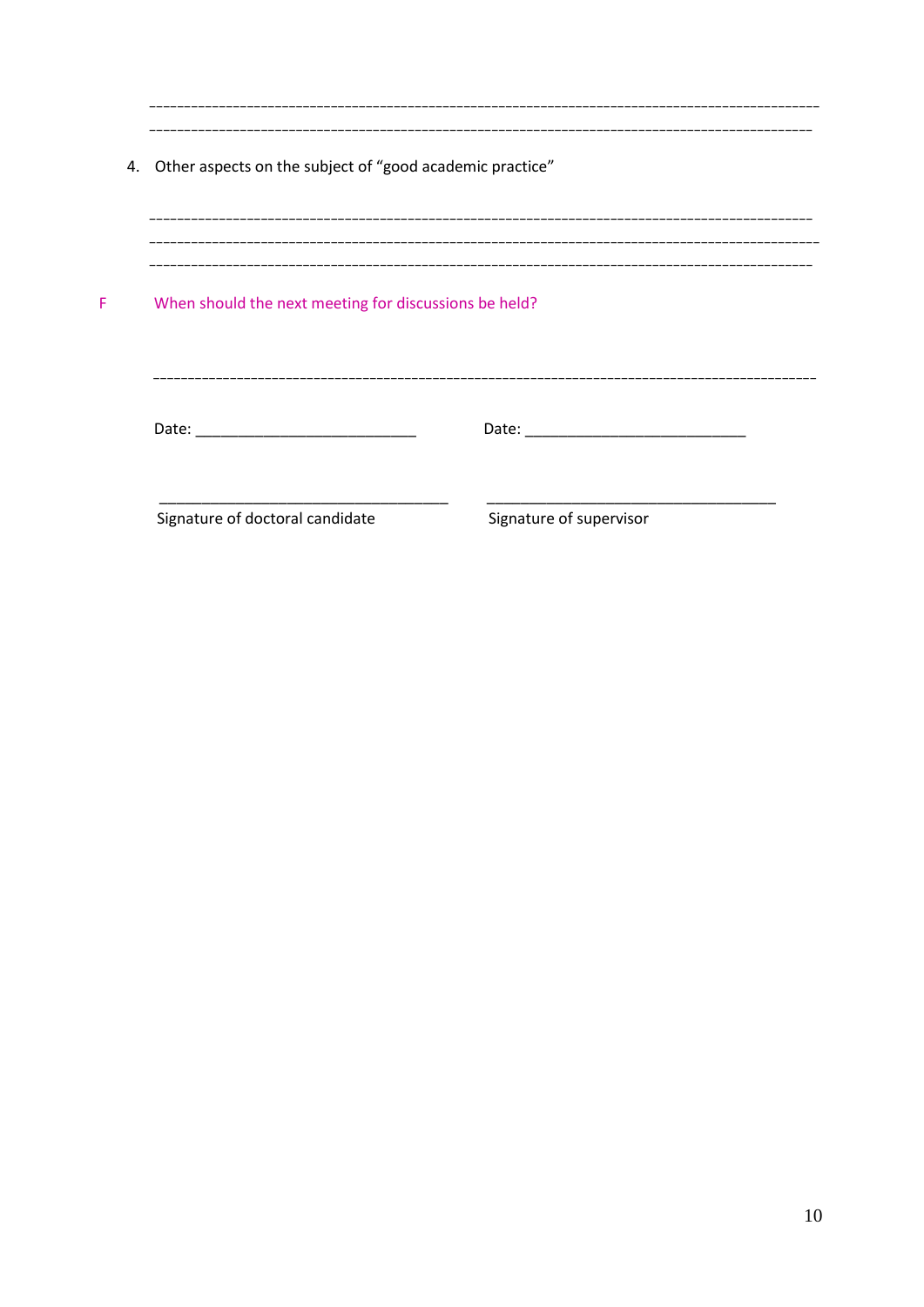| 4. Other aspects on the subject of "good academic practice"                                                                                                                                                                    |                                                                                                                                                                                                                                |
|--------------------------------------------------------------------------------------------------------------------------------------------------------------------------------------------------------------------------------|--------------------------------------------------------------------------------------------------------------------------------------------------------------------------------------------------------------------------------|
| When should the next meeting for discussions be held?                                                                                                                                                                          |                                                                                                                                                                                                                                |
| Date: the control of the control of the control of the control of the control of the control of the control of the control of the control of the control of the control of the control of the control of the control of the co | Date: the contract of the contract of the contract of the contract of the contract of the contract of the contract of the contract of the contract of the contract of the contract of the contract of the contract of the cont |
| Signature of doctoral candidate                                                                                                                                                                                                | Signature of supervisor                                                                                                                                                                                                        |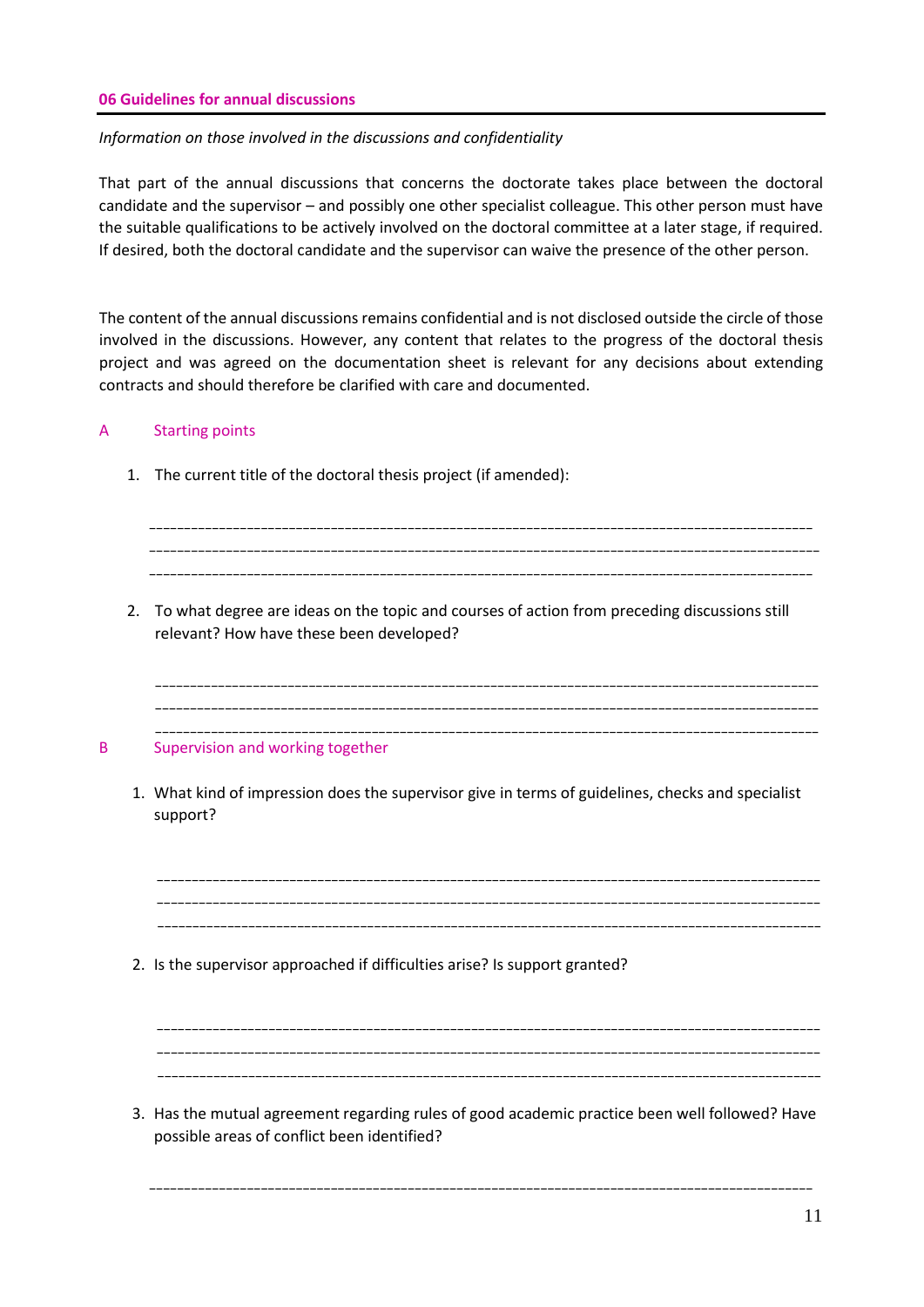### **06 Guidelines for annual discussions**

### *Information on those involved in the discussions and confidentiality*

That part of the annual discussions that concerns the doctorate takes place between the doctoral candidate and the supervisor – and possibly one other specialist colleague. This other person must have the suitable qualifications to be actively involved on the doctoral committee at a later stage, if required. If desired, both the doctoral candidate and the supervisor can waive the presence of the other person.

The content of the annual discussions remains confidential and is not disclosed outside the circle of those involved in the discussions. However, any content that relates to the progress of the doctoral thesis project and was agreed on the documentation sheet is relevant for any decisions about extending contracts and should therefore be clarified with care and documented.

### A Starting points

1. The current title of the doctoral thesis project (if amended):

\_\_\_\_\_\_\_\_\_\_\_\_\_\_\_\_\_\_\_\_\_\_\_\_\_\_\_\_\_\_\_\_\_\_\_\_\_\_\_\_\_\_\_\_\_\_\_\_\_\_\_\_\_\_\_\_\_\_\_\_\_\_\_\_\_\_\_\_\_\_\_\_\_\_\_\_\_\_\_\_\_\_\_\_\_\_\_\_\_\_\_\_\_\_\_ \_\_\_\_\_\_\_\_\_\_\_\_\_\_\_\_\_\_\_\_\_\_\_\_\_\_\_\_\_\_\_\_\_\_\_\_\_\_\_\_\_\_\_\_\_\_\_\_\_\_\_\_\_\_\_\_\_\_\_\_\_\_\_\_\_\_\_\_\_\_\_\_\_\_\_\_\_\_\_\_\_\_\_\_\_\_\_\_\_\_\_\_\_\_\_\_ \_\_\_\_\_\_\_\_\_\_\_\_\_\_\_\_\_\_\_\_\_\_\_\_\_\_\_\_\_\_\_\_\_\_\_\_\_\_\_\_\_\_\_\_\_\_\_\_\_\_\_\_\_\_\_\_\_\_\_\_\_\_\_\_\_\_\_\_\_\_\_\_\_\_\_\_\_\_\_\_\_\_\_\_\_\_\_\_\_\_\_\_\_\_\_ 2. To what degree are ideas on the topic and courses of action from preceding discussions still relevant? How have these been developed? \_\_\_\_\_\_\_\_\_\_\_\_\_\_\_\_\_\_\_\_\_\_\_\_\_\_\_\_\_\_\_\_\_\_\_\_\_\_\_\_\_\_\_\_\_\_\_\_\_\_\_\_\_\_\_\_\_\_\_\_\_\_\_\_\_\_\_\_\_\_\_\_\_\_\_\_\_\_\_\_\_\_\_\_\_\_\_\_\_\_\_\_\_\_\_ \_\_\_\_\_\_\_\_\_\_\_\_\_\_\_\_\_\_\_\_\_\_\_\_\_\_\_\_\_\_\_\_\_\_\_\_\_\_\_\_\_\_\_\_\_\_\_\_\_\_\_\_\_\_\_\_\_\_\_\_\_\_\_\_\_\_\_\_\_\_\_\_\_\_\_\_\_\_\_\_\_\_\_\_\_\_\_\_\_\_\_\_\_\_\_ \_\_\_\_\_\_\_\_\_\_\_\_\_\_\_\_\_\_\_\_\_\_\_\_\_\_\_\_\_\_\_\_\_\_\_\_\_\_\_\_\_\_\_\_\_\_\_\_\_\_\_\_\_\_\_\_\_\_\_\_\_\_\_\_\_\_\_\_\_\_\_\_\_\_\_\_\_\_\_\_\_\_\_\_\_\_\_\_\_\_\_\_\_\_\_ B Supervision and working together 1. What kind of impression does the supervisor give in terms of guidelines, checks and specialist support? \_\_\_\_\_\_\_\_\_\_\_\_\_\_\_\_\_\_\_\_\_\_\_\_\_\_\_\_\_\_\_\_\_\_\_\_\_\_\_\_\_\_\_\_\_\_\_\_\_\_\_\_\_\_\_\_\_\_\_\_\_\_\_\_\_\_\_\_\_\_\_\_\_\_\_\_\_\_\_\_\_\_\_\_\_\_\_\_\_\_\_\_\_\_\_ \_\_\_\_\_\_\_\_\_\_\_\_\_\_\_\_\_\_\_\_\_\_\_\_\_\_\_\_\_\_\_\_\_\_\_\_\_\_\_\_\_\_\_\_\_\_\_\_\_\_\_\_\_\_\_\_\_\_\_\_\_\_\_\_\_\_\_\_\_\_\_\_\_\_\_\_\_\_\_\_\_\_\_\_\_\_\_\_\_\_\_\_\_\_\_ \_\_\_\_\_\_\_\_\_\_\_\_\_\_\_\_\_\_\_\_\_\_\_\_\_\_\_\_\_\_\_\_\_\_\_\_\_\_\_\_\_\_\_\_\_\_\_\_\_\_\_\_\_\_\_\_\_\_\_\_\_\_\_\_\_\_\_\_\_\_\_\_\_\_\_\_\_\_\_\_\_\_\_\_\_\_\_\_\_\_\_\_\_\_\_ 2. Is the supervisor approached if difficulties arise? Is support granted? \_\_\_\_\_\_\_\_\_\_\_\_\_\_\_\_\_\_\_\_\_\_\_\_\_\_\_\_\_\_\_\_\_\_\_\_\_\_\_\_\_\_\_\_\_\_\_\_\_\_\_\_\_\_\_\_\_\_\_\_\_\_\_\_\_\_\_\_\_\_\_\_\_\_\_\_\_\_\_\_\_\_\_\_\_\_\_\_\_\_\_\_\_\_\_ \_\_\_\_\_\_\_\_\_\_\_\_\_\_\_\_\_\_\_\_\_\_\_\_\_\_\_\_\_\_\_\_\_\_\_\_\_\_\_\_\_\_\_\_\_\_\_\_\_\_\_\_\_\_\_\_\_\_\_\_\_\_\_\_\_\_\_\_\_\_\_\_\_\_\_\_\_\_\_\_\_\_\_\_\_\_\_\_\_\_\_\_\_\_\_ \_\_\_\_\_\_\_\_\_\_\_\_\_\_\_\_\_\_\_\_\_\_\_\_\_\_\_\_\_\_\_\_\_\_\_\_\_\_\_\_\_\_\_\_\_\_\_\_\_\_\_\_\_\_\_\_\_\_\_\_\_\_\_\_\_\_\_\_\_\_\_\_\_\_\_\_\_\_\_\_\_\_\_\_\_\_\_\_\_\_\_\_\_\_\_ 3. Has the mutual agreement regarding rules of good academic practice been well followed? Have possible areas of conflict been identified?

\_\_\_\_\_\_\_\_\_\_\_\_\_\_\_\_\_\_\_\_\_\_\_\_\_\_\_\_\_\_\_\_\_\_\_\_\_\_\_\_\_\_\_\_\_\_\_\_\_\_\_\_\_\_\_\_\_\_\_\_\_\_\_\_\_\_\_\_\_\_\_\_\_\_\_\_\_\_\_\_\_\_\_\_\_\_\_\_\_\_\_\_\_\_\_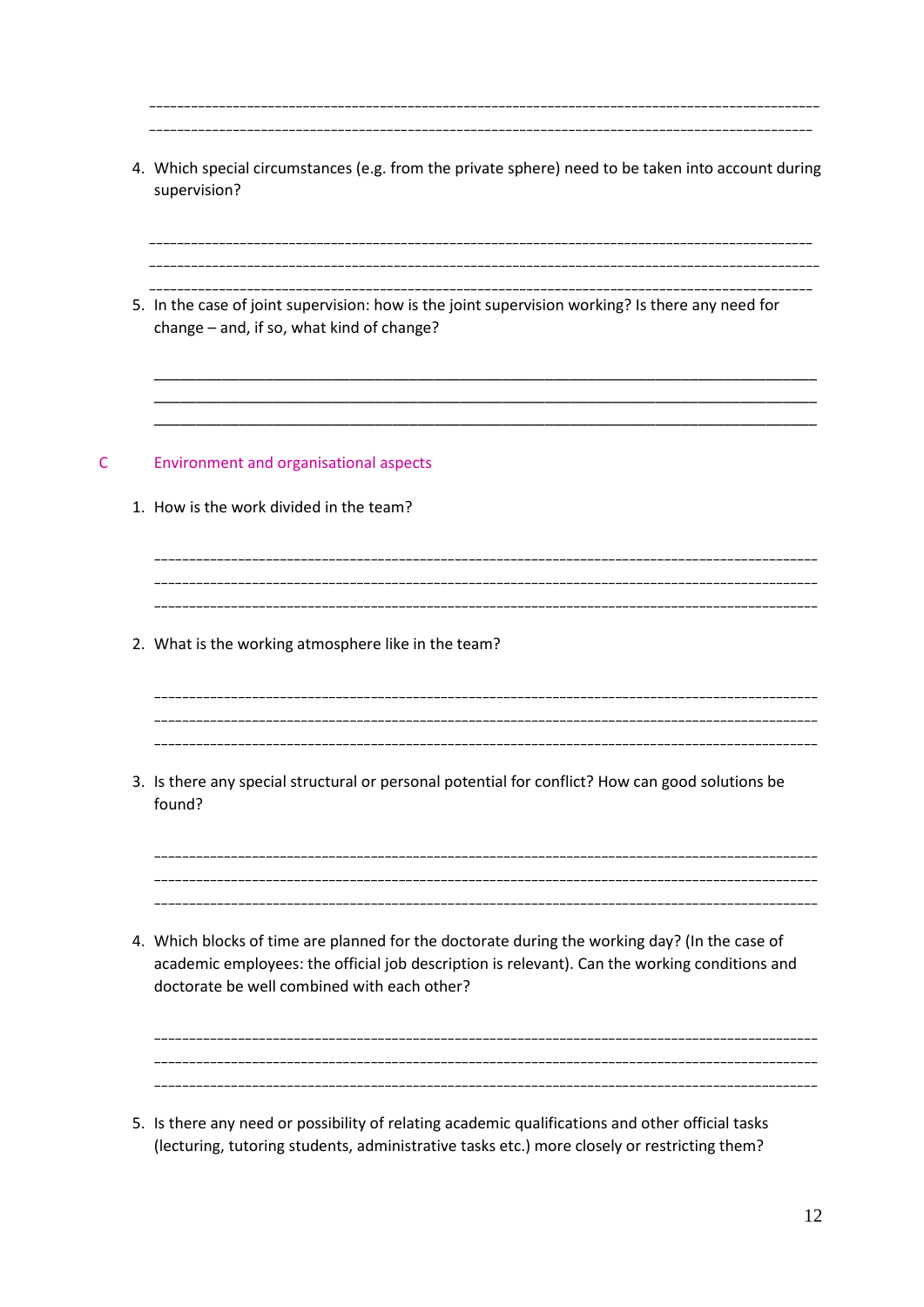| 4. Which special circumstances (e.g. from the private sphere) need to be taken into account during<br>supervision?                                                                                                                            |
|-----------------------------------------------------------------------------------------------------------------------------------------------------------------------------------------------------------------------------------------------|
| 5. In the case of joint supervision: how is the joint supervision working? Is there any need for<br>change - and, if so, what kind of change?                                                                                                 |
| <b>Environment and organisational aspects</b><br>1. How is the work divided in the team?                                                                                                                                                      |
| 2. What is the working atmosphere like in the team?                                                                                                                                                                                           |
| 3. Is there any special structural or personal potential for conflict? How can good solutions be<br>found?                                                                                                                                    |
| 4. Which blocks of time are planned for the doctorate during the working day? (In the case of<br>academic employees: the official job description is relevant). Can the working conditions and<br>doctorate be well combined with each other? |

 $\mathsf{C}$ 

5. Is there any need or possibility of relating academic qualifications and other official tasks (lecturing, tutoring students, administrative tasks etc.) more closely or restricting them?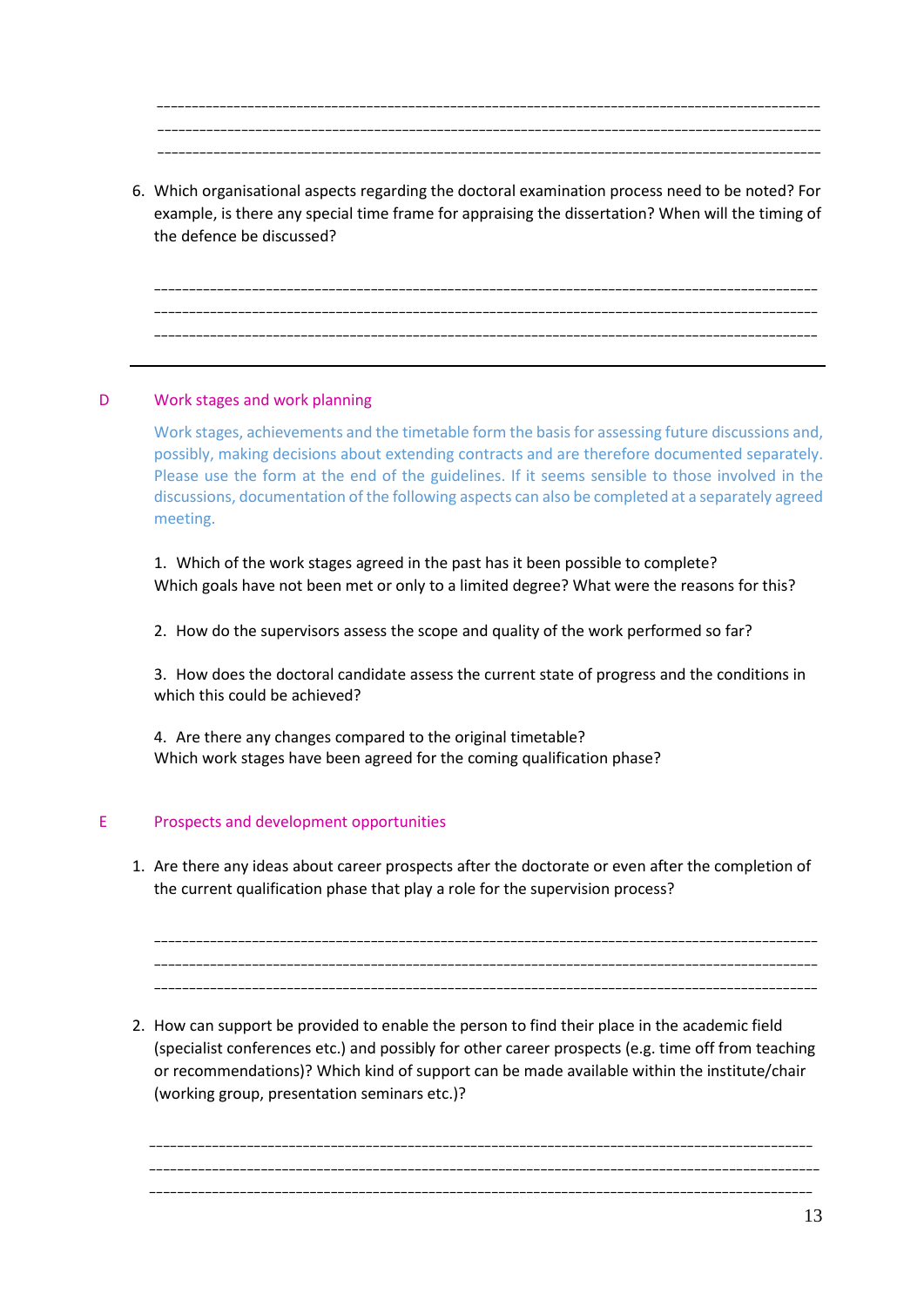\_\_\_\_\_\_\_\_\_\_\_\_\_\_\_\_\_\_\_\_\_\_\_\_\_\_\_\_\_\_\_\_\_\_\_\_\_\_\_\_\_\_\_\_\_\_\_\_\_\_\_\_\_\_\_\_\_\_\_\_\_\_\_\_\_\_\_\_\_\_\_\_\_\_\_\_\_\_\_\_\_\_\_\_\_\_\_\_\_\_\_\_\_\_\_ \_\_\_\_\_\_\_\_\_\_\_\_\_\_\_\_\_\_\_\_\_\_\_\_\_\_\_\_\_\_\_\_\_\_\_\_\_\_\_\_\_\_\_\_\_\_\_\_\_\_\_\_\_\_\_\_\_\_\_\_\_\_\_\_\_\_\_\_\_\_\_\_\_\_\_\_\_\_\_\_\_\_\_\_\_\_\_\_\_\_\_\_\_\_\_ \_\_\_\_\_\_\_\_\_\_\_\_\_\_\_\_\_\_\_\_\_\_\_\_\_\_\_\_\_\_\_\_\_\_\_\_\_\_\_\_\_\_\_\_\_\_\_\_\_\_\_\_\_\_\_\_\_\_\_\_\_\_\_\_\_\_\_\_\_\_\_\_\_\_\_\_\_\_\_\_\_\_\_\_\_\_\_\_\_\_\_\_\_\_\_

6. Which organisational aspects regarding the doctoral examination process need to be noted? For example, is there any special time frame for appraising the dissertation? When will the timing of the defence be discussed?

\_\_\_\_\_\_\_\_\_\_\_\_\_\_\_\_\_\_\_\_\_\_\_\_\_\_\_\_\_\_\_\_\_\_\_\_\_\_\_\_\_\_\_\_\_\_\_\_\_\_\_\_\_\_\_\_\_\_\_\_\_\_\_\_\_\_\_\_\_\_\_\_\_\_\_\_\_\_\_\_\_\_\_\_\_\_\_\_\_\_\_\_\_\_\_ \_\_\_\_\_\_\_\_\_\_\_\_\_\_\_\_\_\_\_\_\_\_\_\_\_\_\_\_\_\_\_\_\_\_\_\_\_\_\_\_\_\_\_\_\_\_\_\_\_\_\_\_\_\_\_\_\_\_\_\_\_\_\_\_\_\_\_\_\_\_\_\_\_\_\_\_\_\_\_\_\_\_\_\_\_\_\_\_\_\_\_\_\_\_\_ \_\_\_\_\_\_\_\_\_\_\_\_\_\_\_\_\_\_\_\_\_\_\_\_\_\_\_\_\_\_\_\_\_\_\_\_\_\_\_\_\_\_\_\_\_\_\_\_\_\_\_\_\_\_\_\_\_\_\_\_\_\_\_\_\_\_\_\_\_\_\_\_\_\_\_\_\_\_\_\_\_\_\_\_\_\_\_\_\_\_\_\_\_\_\_

# D Work stages and work planning

Work stages, achievements and the timetable form the basis for assessing future discussions and, possibly, making decisions about extending contracts and are therefore documented separately. Please use the form at the end of the guidelines. If it seems sensible to those involved in the discussions, documentation of the following aspects can also be completed at a separately agreed meeting.

1. Which of the work stages agreed in the past has it been possible to complete? Which goals have not been met or only to a limited degree? What were the reasons for this?

2. How do the supervisors assess the scope and quality of the work performed so far?

3. How does the doctoral candidate assess the current state of progress and the conditions in which this could be achieved?

4. Are there any changes compared to the original timetable? Which work stages have been agreed for the coming qualification phase?

# E Prospects and development opportunities

1. Are there any ideas about career prospects after the doctorate or even after the completion of the current qualification phase that play a role for the supervision process?

\_\_\_\_\_\_\_\_\_\_\_\_\_\_\_\_\_\_\_\_\_\_\_\_\_\_\_\_\_\_\_\_\_\_\_\_\_\_\_\_\_\_\_\_\_\_\_\_\_\_\_\_\_\_\_\_\_\_\_\_\_\_\_\_\_\_\_\_\_\_\_\_\_\_\_\_\_\_\_\_\_\_\_\_\_\_\_\_\_\_\_\_\_\_\_ \_\_\_\_\_\_\_\_\_\_\_\_\_\_\_\_\_\_\_\_\_\_\_\_\_\_\_\_\_\_\_\_\_\_\_\_\_\_\_\_\_\_\_\_\_\_\_\_\_\_\_\_\_\_\_\_\_\_\_\_\_\_\_\_\_\_\_\_\_\_\_\_\_\_\_\_\_\_\_\_\_\_\_\_\_\_\_\_\_\_\_\_\_\_\_ \_\_\_\_\_\_\_\_\_\_\_\_\_\_\_\_\_\_\_\_\_\_\_\_\_\_\_\_\_\_\_\_\_\_\_\_\_\_\_\_\_\_\_\_\_\_\_\_\_\_\_\_\_\_\_\_\_\_\_\_\_\_\_\_\_\_\_\_\_\_\_\_\_\_\_\_\_\_\_\_\_\_\_\_\_\_\_\_\_\_\_\_\_\_\_

2. How can support be provided to enable the person to find their place in the academic field (specialist conferences etc.) and possibly for other career prospects (e.g. time off from teaching or recommendations)? Which kind of support can be made available within the institute/chair (working group, presentation seminars etc.)?

\_\_\_\_\_\_\_\_\_\_\_\_\_\_\_\_\_\_\_\_\_\_\_\_\_\_\_\_\_\_\_\_\_\_\_\_\_\_\_\_\_\_\_\_\_\_\_\_\_\_\_\_\_\_\_\_\_\_\_\_\_\_\_\_\_\_\_\_\_\_\_\_\_\_\_\_\_\_\_\_\_\_\_\_\_\_\_\_\_\_\_\_\_\_\_ \_\_\_\_\_\_\_\_\_\_\_\_\_\_\_\_\_\_\_\_\_\_\_\_\_\_\_\_\_\_\_\_\_\_\_\_\_\_\_\_\_\_\_\_\_\_\_\_\_\_\_\_\_\_\_\_\_\_\_\_\_\_\_\_\_\_\_\_\_\_\_\_\_\_\_\_\_\_\_\_\_\_\_\_\_\_\_\_\_\_\_\_\_\_\_\_ \_\_\_\_\_\_\_\_\_\_\_\_\_\_\_\_\_\_\_\_\_\_\_\_\_\_\_\_\_\_\_\_\_\_\_\_\_\_\_\_\_\_\_\_\_\_\_\_\_\_\_\_\_\_\_\_\_\_\_\_\_\_\_\_\_\_\_\_\_\_\_\_\_\_\_\_\_\_\_\_\_\_\_\_\_\_\_\_\_\_\_\_\_\_\_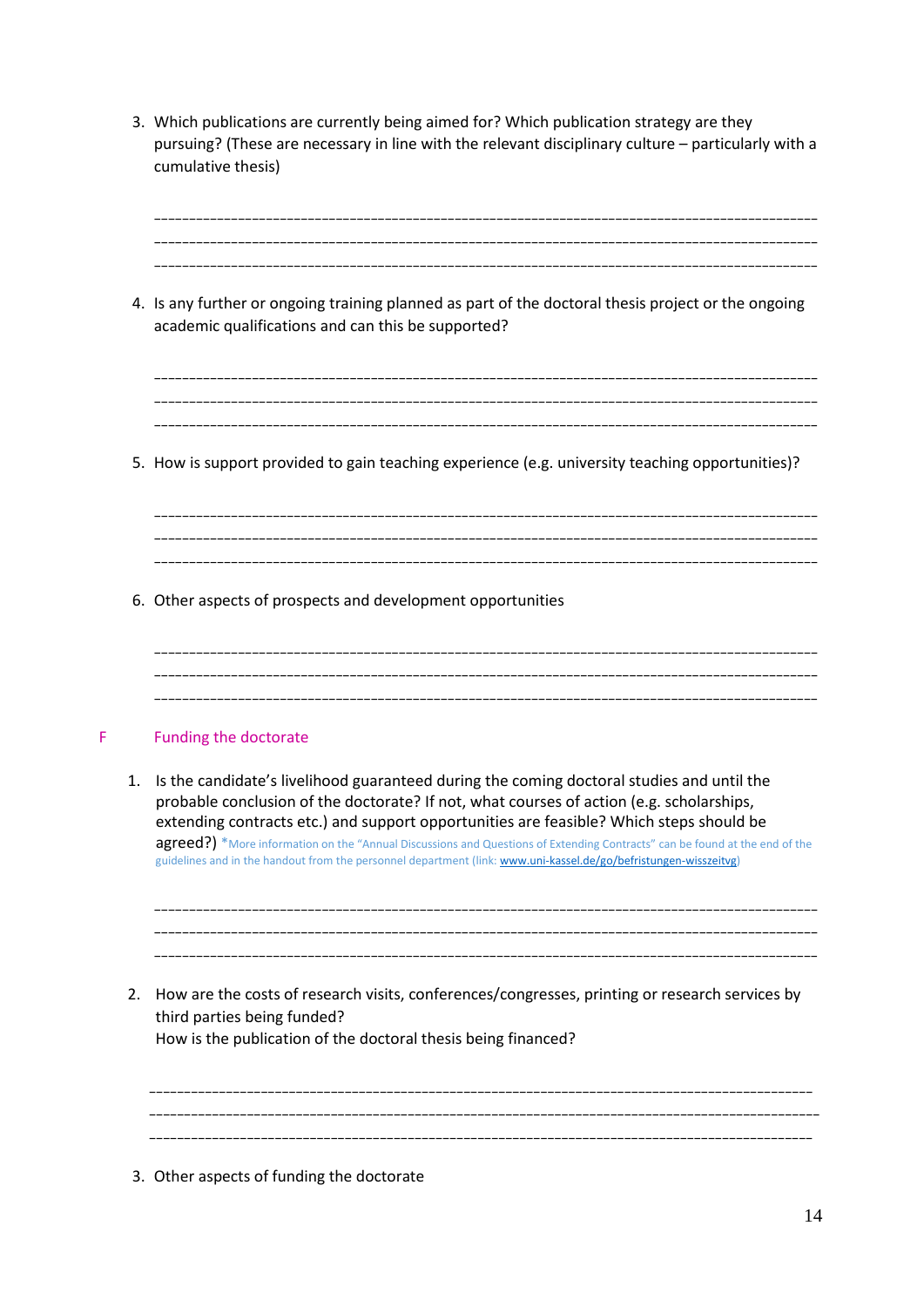3. Which publications are currently being aimed for? Which publication strategy are they pursuing? (These are necessary in line with the relevant disciplinary culture – particularly with a cumulative thesis)

\_\_\_\_\_\_\_\_\_\_\_\_\_\_\_\_\_\_\_\_\_\_\_\_\_\_\_\_\_\_\_\_\_\_\_\_\_\_\_\_\_\_\_\_\_\_\_\_\_\_\_\_\_\_\_\_\_\_\_\_\_\_\_\_\_\_\_\_\_\_\_\_\_\_\_\_\_\_\_\_\_\_\_\_\_\_\_\_\_\_\_\_\_\_\_  $\mathcal{L}_\mathcal{L} = \mathcal{L}_\mathcal{L} = \mathcal{L}_\mathcal{L} = \mathcal{L}_\mathcal{L} = \mathcal{L}_\mathcal{L} = \mathcal{L}_\mathcal{L} = \mathcal{L}_\mathcal{L} = \mathcal{L}_\mathcal{L} = \mathcal{L}_\mathcal{L} = \mathcal{L}_\mathcal{L} = \mathcal{L}_\mathcal{L} = \mathcal{L}_\mathcal{L} = \mathcal{L}_\mathcal{L} = \mathcal{L}_\mathcal{L} = \mathcal{L}_\mathcal{L} = \mathcal{L}_\mathcal{L} = \mathcal{L}_\mathcal{L}$  $\mathcal{L}_\mathcal{L} = \mathcal{L}_\mathcal{L}$ 

4. Is any further or ongoing training planned as part of the doctoral thesis project or the ongoing academic qualifications and can this be supported?

\_\_\_\_\_\_\_\_\_\_\_\_\_\_\_\_\_\_\_\_\_\_\_\_\_\_\_\_\_\_\_\_\_\_\_\_\_\_\_\_\_\_\_\_\_\_\_\_\_\_\_\_\_\_\_\_\_\_\_\_\_\_\_\_\_\_\_\_\_\_\_\_\_\_\_\_\_\_\_\_\_\_\_\_\_\_\_\_\_\_\_\_\_\_\_ \_\_\_\_\_\_\_\_\_\_\_\_\_\_\_\_\_\_\_\_\_\_\_\_\_\_\_\_\_\_\_\_\_\_\_\_\_\_\_\_\_\_\_\_\_\_\_\_\_\_\_\_\_\_\_\_\_\_\_\_\_\_\_\_\_\_\_\_\_\_\_\_\_\_\_\_\_\_\_\_\_\_\_\_\_\_\_\_\_\_\_\_\_\_\_ \_\_\_\_\_\_\_\_\_\_\_\_\_\_\_\_\_\_\_\_\_\_\_\_\_\_\_\_\_\_\_\_\_\_\_\_\_\_\_\_\_\_\_\_\_\_\_\_\_\_\_\_\_\_\_\_\_\_\_\_\_\_\_\_\_\_\_\_\_\_\_\_\_\_\_\_\_\_\_\_\_\_\_\_\_\_\_\_\_\_\_\_\_\_\_

\_\_\_\_\_\_\_\_\_\_\_\_\_\_\_\_\_\_\_\_\_\_\_\_\_\_\_\_\_\_\_\_\_\_\_\_\_\_\_\_\_\_\_\_\_\_\_\_\_\_\_\_\_\_\_\_\_\_\_\_\_\_\_\_\_\_\_\_\_\_\_\_\_\_\_\_\_\_\_\_\_\_\_\_\_\_\_\_\_\_\_\_\_\_\_ \_\_\_\_\_\_\_\_\_\_\_\_\_\_\_\_\_\_\_\_\_\_\_\_\_\_\_\_\_\_\_\_\_\_\_\_\_\_\_\_\_\_\_\_\_\_\_\_\_\_\_\_\_\_\_\_\_\_\_\_\_\_\_\_\_\_\_\_\_\_\_\_\_\_\_\_\_\_\_\_\_\_\_\_\_\_\_\_\_\_\_\_\_\_\_

5. How is support provided to gain teaching experience (e.g. university teaching opportunities)?

\_\_\_\_\_\_\_\_\_\_\_\_\_\_\_\_\_\_\_\_\_\_\_\_\_\_\_\_\_\_\_\_\_\_\_\_\_\_\_\_\_\_\_\_\_\_\_\_\_\_\_\_\_\_\_\_\_\_\_\_\_\_\_\_\_\_\_\_\_\_\_\_\_\_\_\_\_\_\_\_\_\_\_\_\_\_\_\_\_\_\_\_\_\_\_

- 6. Other aspects of prospects and development opportunities
- \_\_\_\_\_\_\_\_\_\_\_\_\_\_\_\_\_\_\_\_\_\_\_\_\_\_\_\_\_\_\_\_\_\_\_\_\_\_\_\_\_\_\_\_\_\_\_\_\_\_\_\_\_\_\_\_\_\_\_\_\_\_\_\_\_\_\_\_\_\_\_\_\_\_\_\_\_\_\_\_\_\_\_\_\_\_\_\_\_\_\_\_\_\_\_ \_\_\_\_\_\_\_\_\_\_\_\_\_\_\_\_\_\_\_\_\_\_\_\_\_\_\_\_\_\_\_\_\_\_\_\_\_\_\_\_\_\_\_\_\_\_\_\_\_\_\_\_\_\_\_\_\_\_\_\_\_\_\_\_\_\_\_\_\_\_\_\_\_\_\_\_\_\_\_\_\_\_\_\_\_\_\_\_\_\_\_\_\_\_\_ \_\_\_\_\_\_\_\_\_\_\_\_\_\_\_\_\_\_\_\_\_\_\_\_\_\_\_\_\_\_\_\_\_\_\_\_\_\_\_\_\_\_\_\_\_\_\_\_\_\_\_\_\_\_\_\_\_\_\_\_\_\_\_\_\_\_\_\_\_\_\_\_\_\_\_\_\_\_\_\_\_\_\_\_\_\_\_\_\_\_\_\_\_\_\_

# F Funding the doctorate

1. Is the candidate's livelihood guaranteed during the coming doctoral studies and until the probable conclusion of the doctorate? If not, what courses of action (e.g. scholarships, extending contracts etc.) and support opportunities are feasible? Which steps should be agreed?) \*More information on the "Annual Discussions and Questions of Extending Contracts" can be found at the end of the guidelines and in the handout from the personnel department (link[: www.uni-kassel.de/go/befristungen-wisszeitvg\)](http://www.uni-kassel.de/go/befristungen-wisszeitvg)

\_\_\_\_\_\_\_\_\_\_\_\_\_\_\_\_\_\_\_\_\_\_\_\_\_\_\_\_\_\_\_\_\_\_\_\_\_\_\_\_\_\_\_\_\_\_\_\_\_\_\_\_\_\_\_\_\_\_\_\_\_\_\_\_\_\_\_\_\_\_\_\_\_\_\_\_\_\_\_\_\_\_\_\_\_\_\_\_\_\_\_\_\_\_\_ \_\_\_\_\_\_\_\_\_\_\_\_\_\_\_\_\_\_\_\_\_\_\_\_\_\_\_\_\_\_\_\_\_\_\_\_\_\_\_\_\_\_\_\_\_\_\_\_\_\_\_\_\_\_\_\_\_\_\_\_\_\_\_\_\_\_\_\_\_\_\_\_\_\_\_\_\_\_\_\_\_\_\_\_\_\_\_\_\_\_\_\_\_\_\_ \_\_\_\_\_\_\_\_\_\_\_\_\_\_\_\_\_\_\_\_\_\_\_\_\_\_\_\_\_\_\_\_\_\_\_\_\_\_\_\_\_\_\_\_\_\_\_\_\_\_\_\_\_\_\_\_\_\_\_\_\_\_\_\_\_\_\_\_\_\_\_\_\_\_\_\_\_\_\_\_\_\_\_\_\_\_\_\_\_\_\_\_\_\_\_

2. How are the costs of research visits, conferences/congresses, printing or research services by third parties being funded? How is the publication of the doctoral thesis being financed?

\_\_\_\_\_\_\_\_\_\_\_\_\_\_\_\_\_\_\_\_\_\_\_\_\_\_\_\_\_\_\_\_\_\_\_\_\_\_\_\_\_\_\_\_\_\_\_\_\_\_\_\_\_\_\_\_\_\_\_\_\_\_\_\_\_\_\_\_\_\_\_\_\_\_\_\_\_\_\_\_\_\_\_\_\_\_\_\_\_\_\_\_\_\_\_ \_\_\_\_\_\_\_\_\_\_\_\_\_\_\_\_\_\_\_\_\_\_\_\_\_\_\_\_\_\_\_\_\_\_\_\_\_\_\_\_\_\_\_\_\_\_\_\_\_\_\_\_\_\_\_\_\_\_\_\_\_\_\_\_\_\_\_\_\_\_\_\_\_\_\_\_\_\_\_\_\_\_\_\_\_\_\_\_\_\_\_\_\_\_\_

3. Other aspects of funding the doctorate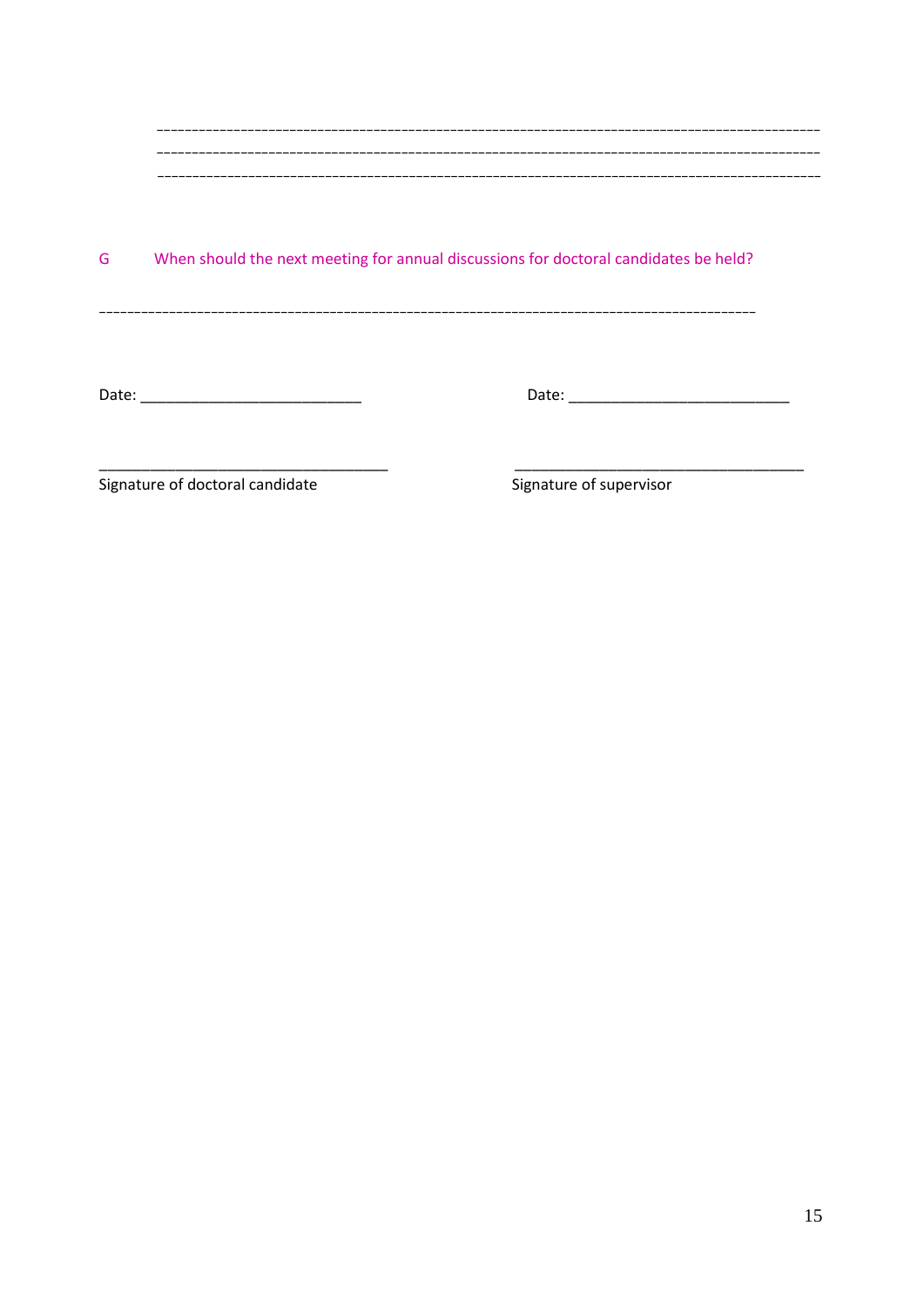#### When should the next meeting for annual discussions for doctoral candidates be held? G

 $\overline{\phantom{a}}$ 

Signature of doctoral candidate

Signature of supervisor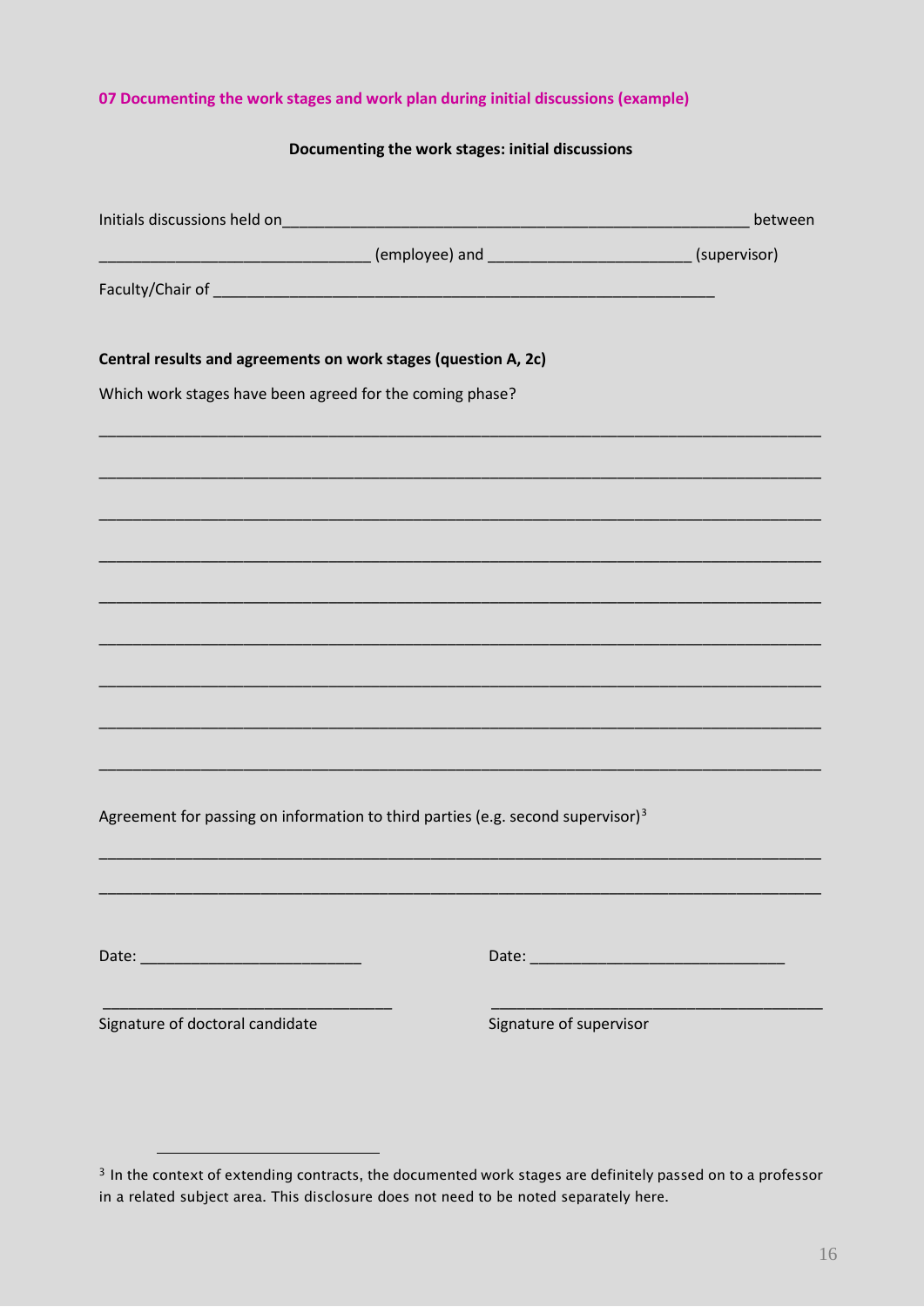# **07 Documenting the work stages and work plan during initial discussions (example)**

# **Documenting the work stages: initial discussions**

|                                                                                             | between |
|---------------------------------------------------------------------------------------------|---------|
|                                                                                             |         |
|                                                                                             |         |
|                                                                                             |         |
| Central results and agreements on work stages (question A, 2c)                              |         |
| Which work stages have been agreed for the coming phase?                                    |         |
|                                                                                             |         |
|                                                                                             |         |
|                                                                                             |         |
|                                                                                             |         |
|                                                                                             |         |
|                                                                                             |         |
|                                                                                             |         |
|                                                                                             |         |
|                                                                                             |         |
|                                                                                             |         |
|                                                                                             |         |
| Agreement for passing on information to third parties (e.g. second supervisor) <sup>3</sup> |         |
|                                                                                             |         |
|                                                                                             |         |
|                                                                                             |         |
|                                                                                             |         |
|                                                                                             |         |
| Signature of doctoral candidate<br>Signature of supervisor                                  |         |
|                                                                                             |         |

<sup>-</sup>

<span id="page-16-0"></span><sup>&</sup>lt;sup>3</sup> In the context of extending contracts, the documented work stages are definitely passed on to a professor in a related subject area. This disclosure does not need to be noted separately here.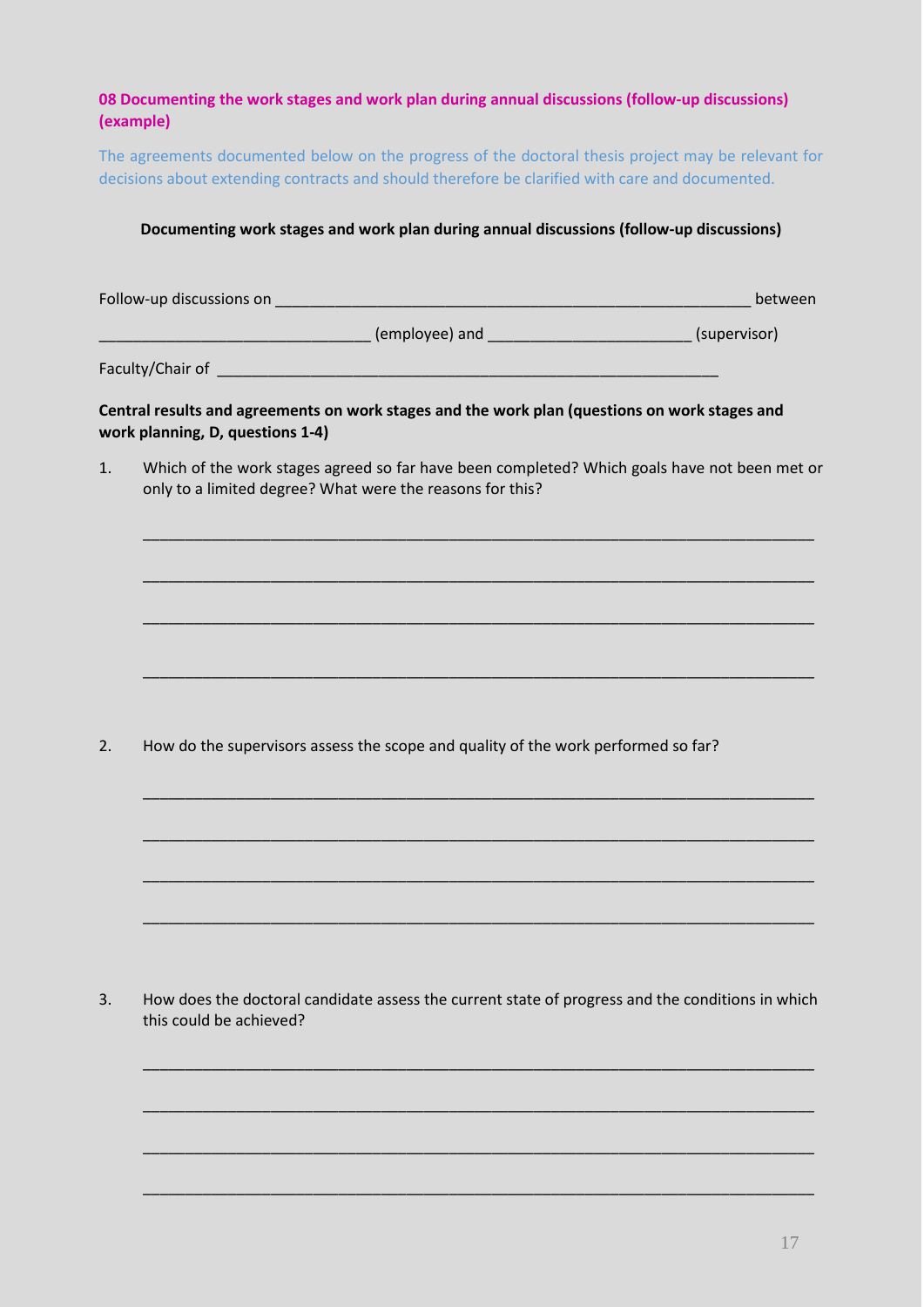# **08 Documenting the work stages and work plan during annual discussions (follow-up discussions) (example)**

The agreements documented below on the progress of the doctoral thesis project may be relevant for decisions about extending contracts and should therefore be clarified with care and documented.

### **Documenting work stages and work plan during annual discussions (follow-up discussions)**

| Follow-up discussions on |  |  |
|--------------------------|--|--|
|                          |  |  |

 $\blacksquare$   $\blacksquare$  (employee) and  $\blacksquare$  and  $\blacksquare$  (supervisor)

Faculty/Chair of \_\_\_\_\_\_\_\_\_\_\_\_\_\_\_\_\_\_\_\_\_\_\_\_\_\_\_\_\_\_\_\_\_\_\_\_\_\_\_\_\_\_\_\_\_\_\_\_\_\_\_\_\_\_\_\_\_\_\_

**Central results and agreements on work stages and the work plan (questions on work stages and work planning, D, questions 1-4)**

1. Which of the work stages agreed so far have been completed? Which goals have not been met or only to a limited degree? What were the reasons for this?

\_\_\_\_\_\_\_\_\_\_\_\_\_\_\_\_\_\_\_\_\_\_\_\_\_\_\_\_\_\_\_\_\_\_\_\_\_\_\_\_\_\_\_\_\_\_\_\_\_\_\_\_\_\_\_\_\_\_\_\_\_\_\_\_\_\_\_\_\_\_\_\_\_\_\_\_\_\_\_

\_\_\_\_\_\_\_\_\_\_\_\_\_\_\_\_\_\_\_\_\_\_\_\_\_\_\_\_\_\_\_\_\_\_\_\_\_\_\_\_\_\_\_\_\_\_\_\_\_\_\_\_\_\_\_\_\_\_\_\_\_\_\_\_\_\_\_\_\_\_\_\_\_\_\_\_\_\_\_

\_\_\_\_\_\_\_\_\_\_\_\_\_\_\_\_\_\_\_\_\_\_\_\_\_\_\_\_\_\_\_\_\_\_\_\_\_\_\_\_\_\_\_\_\_\_\_\_\_\_\_\_\_\_\_\_\_\_\_\_\_\_\_\_\_\_\_\_\_\_\_\_\_\_\_\_\_\_\_

\_\_\_\_\_\_\_\_\_\_\_\_\_\_\_\_\_\_\_\_\_\_\_\_\_\_\_\_\_\_\_\_\_\_\_\_\_\_\_\_\_\_\_\_\_\_\_\_\_\_\_\_\_\_\_\_\_\_\_\_\_\_\_\_\_\_\_\_\_\_\_\_\_\_\_\_\_\_\_

\_\_\_\_\_\_\_\_\_\_\_\_\_\_\_\_\_\_\_\_\_\_\_\_\_\_\_\_\_\_\_\_\_\_\_\_\_\_\_\_\_\_\_\_\_\_\_\_\_\_\_\_\_\_\_\_\_\_\_\_\_\_\_\_\_\_\_\_\_\_\_\_\_\_\_\_\_\_\_

\_\_\_\_\_\_\_\_\_\_\_\_\_\_\_\_\_\_\_\_\_\_\_\_\_\_\_\_\_\_\_\_\_\_\_\_\_\_\_\_\_\_\_\_\_\_\_\_\_\_\_\_\_\_\_\_\_\_\_\_\_\_\_\_\_\_\_\_\_\_\_\_\_\_\_\_\_\_\_

\_\_\_\_\_\_\_\_\_\_\_\_\_\_\_\_\_\_\_\_\_\_\_\_\_\_\_\_\_\_\_\_\_\_\_\_\_\_\_\_\_\_\_\_\_\_\_\_\_\_\_\_\_\_\_\_\_\_\_\_\_\_\_\_\_\_\_\_\_\_\_\_\_\_\_\_\_\_\_

\_\_\_\_\_\_\_\_\_\_\_\_\_\_\_\_\_\_\_\_\_\_\_\_\_\_\_\_\_\_\_\_\_\_\_\_\_\_\_\_\_\_\_\_\_\_\_\_\_\_\_\_\_\_\_\_\_\_\_\_\_\_\_\_\_\_\_\_\_\_\_\_\_\_\_\_\_\_\_

\_\_\_\_\_\_\_\_\_\_\_\_\_\_\_\_\_\_\_\_\_\_\_\_\_\_\_\_\_\_\_\_\_\_\_\_\_\_\_\_\_\_\_\_\_\_\_\_\_\_\_\_\_\_\_\_\_\_\_\_\_\_\_\_\_\_\_\_\_\_\_\_\_\_\_\_\_\_\_

\_\_\_\_\_\_\_\_\_\_\_\_\_\_\_\_\_\_\_\_\_\_\_\_\_\_\_\_\_\_\_\_\_\_\_\_\_\_\_\_\_\_\_\_\_\_\_\_\_\_\_\_\_\_\_\_\_\_\_\_\_\_\_\_\_\_\_\_\_\_\_\_\_\_\_\_\_\_\_

\_\_\_\_\_\_\_\_\_\_\_\_\_\_\_\_\_\_\_\_\_\_\_\_\_\_\_\_\_\_\_\_\_\_\_\_\_\_\_\_\_\_\_\_\_\_\_\_\_\_\_\_\_\_\_\_\_\_\_\_\_\_\_\_\_\_\_\_\_\_\_\_\_\_\_\_\_\_\_

\_\_\_\_\_\_\_\_\_\_\_\_\_\_\_\_\_\_\_\_\_\_\_\_\_\_\_\_\_\_\_\_\_\_\_\_\_\_\_\_\_\_\_\_\_\_\_\_\_\_\_\_\_\_\_\_\_\_\_\_\_\_\_\_\_\_\_\_\_\_\_\_\_\_\_\_\_\_\_

2. How do the supervisors assess the scope and quality of the work performed so far?

3. How does the doctoral candidate assess the current state of progress and the conditions in which this could be achieved?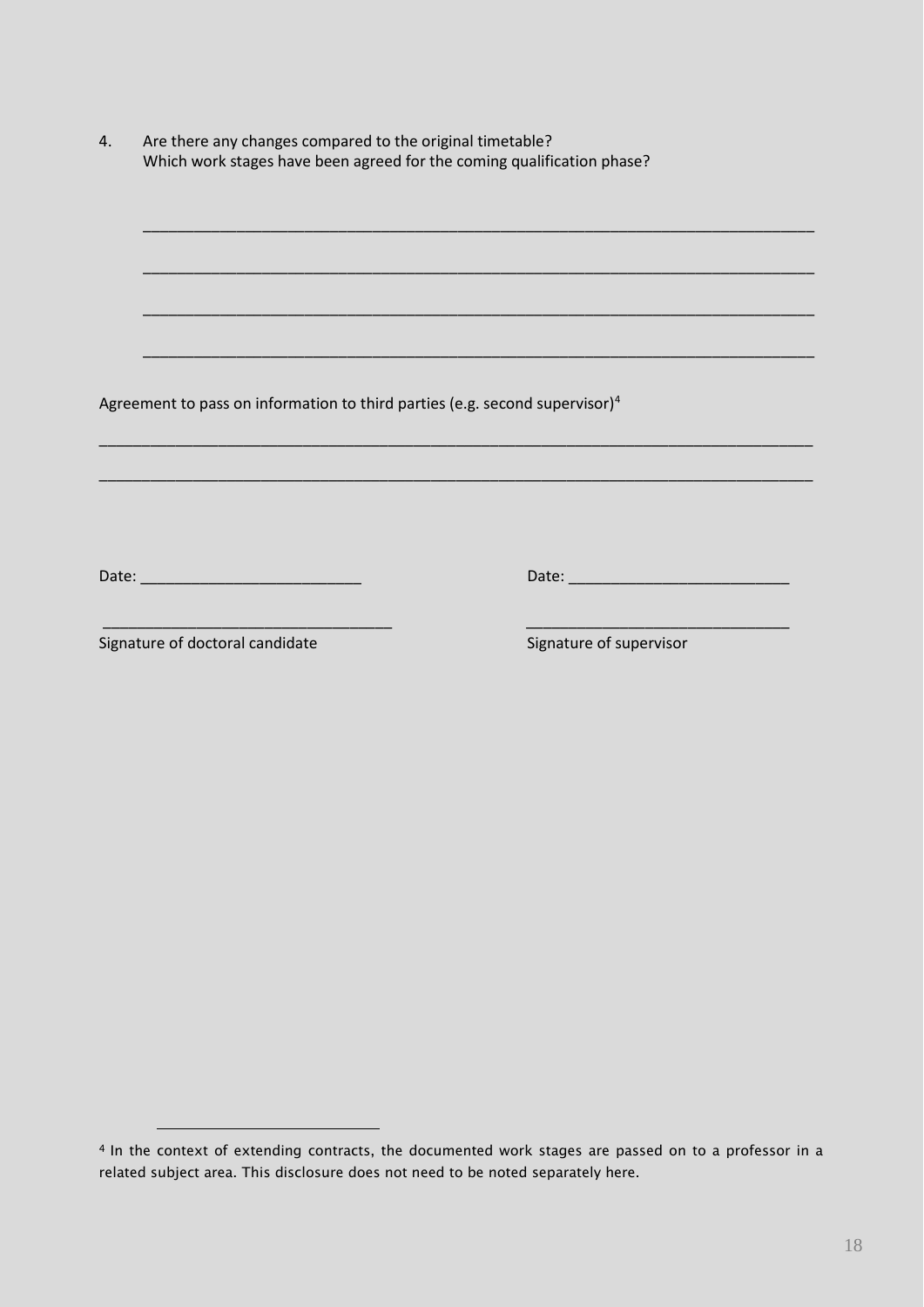| 4. | Are there any changes compared to the original timetable?              |
|----|------------------------------------------------------------------------|
|    | Which work stages have been agreed for the coming qualification phase? |

\_\_\_\_\_\_\_\_\_\_\_\_\_\_\_\_\_\_\_\_\_\_\_\_\_\_\_\_\_\_\_\_\_\_\_\_\_\_\_\_\_\_\_\_\_\_\_\_\_\_\_\_\_\_\_\_\_\_\_\_\_\_\_\_\_\_\_\_\_\_\_\_\_\_\_\_\_\_\_

\_\_\_\_\_\_\_\_\_\_\_\_\_\_\_\_\_\_\_\_\_\_\_\_\_\_\_\_\_\_\_\_\_\_\_\_\_\_\_\_\_\_\_\_\_\_\_\_\_\_\_\_\_\_\_\_\_\_\_\_\_\_\_\_\_\_\_\_\_\_\_\_\_\_\_\_\_\_\_

\_\_\_\_\_\_\_\_\_\_\_\_\_\_\_\_\_\_\_\_\_\_\_\_\_\_\_\_\_\_\_\_\_\_\_\_\_\_\_\_\_\_\_\_\_\_\_\_\_\_\_\_\_\_\_\_\_\_\_\_\_\_\_\_\_\_\_\_\_\_\_\_\_\_\_\_\_\_\_

\_\_\_\_\_\_\_\_\_\_\_\_\_\_\_\_\_\_\_\_\_\_\_\_\_\_\_\_\_\_\_\_\_\_\_\_\_\_\_\_\_\_\_\_\_\_\_\_\_\_\_\_\_\_\_\_\_\_\_\_\_\_\_\_\_\_\_\_\_\_\_\_\_\_\_\_\_\_\_

\_\_\_\_\_\_\_\_\_\_\_\_\_\_\_\_\_\_\_\_\_\_\_\_\_\_\_\_\_\_\_\_\_\_\_\_\_\_\_\_\_\_\_\_\_\_\_\_\_\_\_\_\_\_\_\_\_\_\_\_\_\_\_\_\_\_\_\_\_\_\_\_\_\_\_\_\_\_\_\_\_\_\_\_

\_\_\_\_\_\_\_\_\_\_\_\_\_\_\_\_\_\_\_\_\_\_\_\_\_\_\_\_\_\_\_\_\_\_\_\_\_\_\_\_\_\_\_\_\_\_\_\_\_\_\_\_\_\_\_\_\_\_\_\_\_\_\_\_\_\_\_\_\_\_\_\_\_\_\_\_\_\_\_\_\_\_\_\_

\_\_\_\_\_\_\_\_\_\_\_\_\_\_\_\_\_\_\_\_\_\_\_\_\_\_\_\_\_\_\_\_\_\_ \_\_\_\_\_\_\_\_\_\_\_\_\_\_\_\_\_\_\_\_\_\_\_\_\_\_\_\_\_\_\_

Agreement to pass on information to third parties (e.g. second supervisor)<sup>[4](#page-18-0)</sup>

Date: \_\_\_\_\_\_\_\_\_\_\_\_\_\_\_\_\_\_\_\_\_\_\_\_\_\_ Date: \_\_\_\_\_\_\_\_\_\_\_\_\_\_\_\_\_\_\_\_\_\_\_\_\_\_

Signature of doctoral candidate Signature of supervisor

<sup>-</sup>

<span id="page-18-0"></span><sup>&</sup>lt;sup>4</sup> In the context of extending contracts, the documented work stages are passed on to a professor in a related subject area. This disclosure does not need to be noted separately here.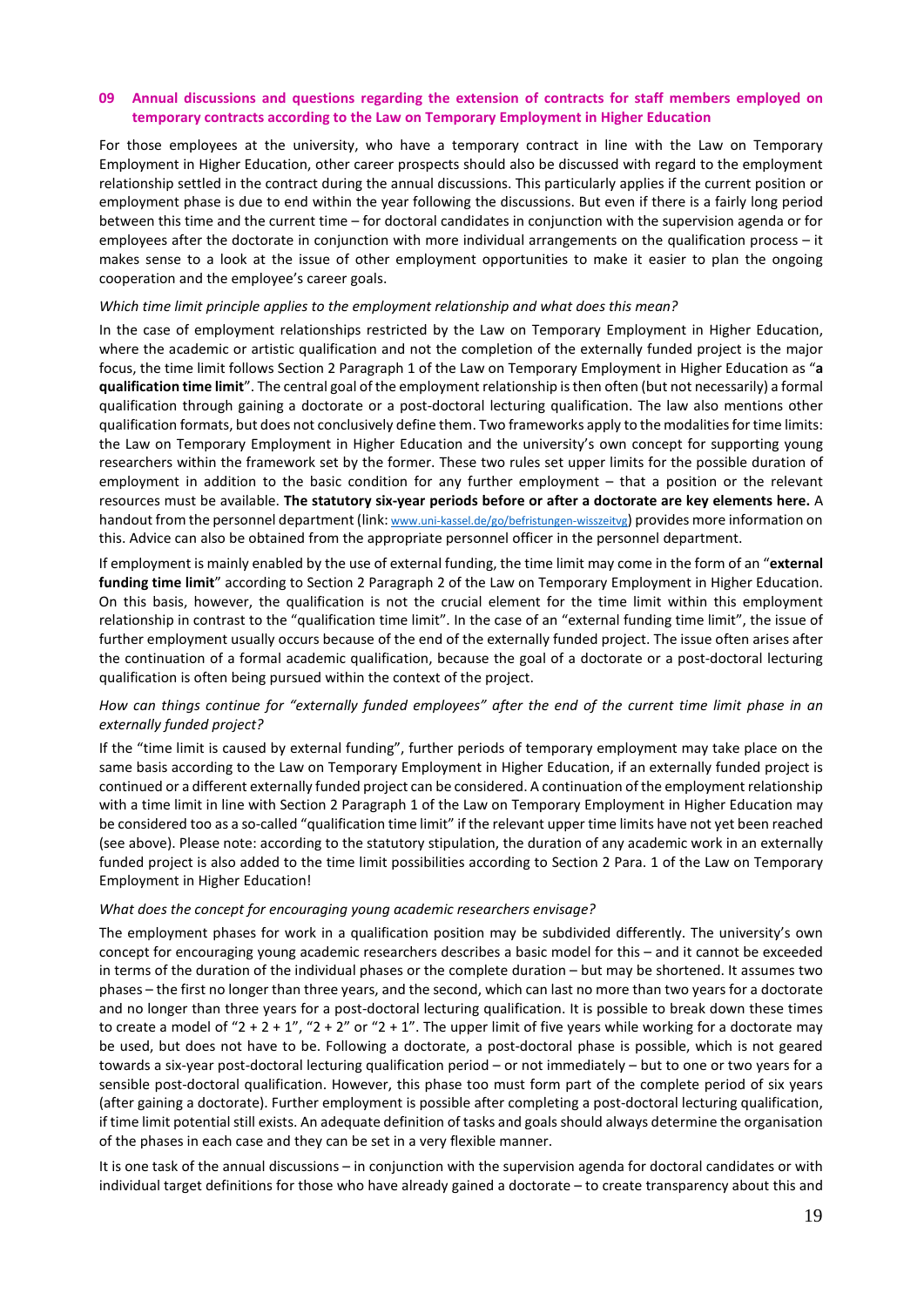### **09 Annual discussions and questions regarding the extension of contracts for staff members employed on temporary contracts according to the Law on Temporary Employment in Higher Education**

For those employees at the university, who have a temporary contract in line with the Law on Temporary Employment in Higher Education, other career prospects should also be discussed with regard to the employment relationship settled in the contract during the annual discussions. This particularly applies if the current position or employment phase is due to end within the year following the discussions. But even if there is a fairly long period between this time and the current time – for doctoral candidates in conjunction with the supervision agenda or for employees after the doctorate in conjunction with more individual arrangements on the qualification process – it makes sense to a look at the issue of other employment opportunities to make it easier to plan the ongoing cooperation and the employee's career goals.

#### *Which time limit principle applies to the employment relationship and what does this mean?*

In the case of employment relationships restricted by the Law on Temporary Employment in Higher Education, where the academic or artistic qualification and not the completion of the externally funded project is the major focus, the time limit follows Section 2 Paragraph 1 of the Law on Temporary Employment in Higher Education as "**a qualification time limit**". The central goal of the employment relationship is then often (but not necessarily) a formal qualification through gaining a doctorate or a post-doctoral lecturing qualification. The law also mentions other qualification formats, but does not conclusively define them. Two frameworks apply to the modalities for time limits: the Law on Temporary Employment in Higher Education and the university's own concept for supporting young researchers within the framework set by the former. These two rules set upper limits for the possible duration of employment in addition to the basic condition for any further employment – that a position or the relevant resources must be available. **The statutory six-year periods before or after a doctorate are key elements here.** A handout from the personnel department (link[: www.uni-kassel.de/go/befristungen-wisszeitvg\)](http://www.uni-kassel.de/go/befristungen-wisszeitvg) provides more information on this. Advice can also be obtained from the appropriate personnel officer in the personnel department.

If employment is mainly enabled by the use of external funding, the time limit may come in the form of an "**external funding time limit**" according to Section 2 Paragraph 2 of the Law on Temporary Employment in Higher Education. On this basis, however, the qualification is not the crucial element for the time limit within this employment relationship in contrast to the "qualification time limit". In the case of an "external funding time limit", the issue of further employment usually occurs because of the end of the externally funded project. The issue often arises after the continuation of a formal academic qualification, because the goal of a doctorate or a post-doctoral lecturing qualification is often being pursued within the context of the project.

### *How can things continue for "externally funded employees" after the end of the current time limit phase in an externally funded project?*

If the "time limit is caused by external funding", further periods of temporary employment may take place on the same basis according to the Law on Temporary Employment in Higher Education, if an externally funded project is continued or a different externally funded project can be considered. A continuation of the employment relationship with a time limit in line with Section 2 Paragraph 1 of the Law on Temporary Employment in Higher Education may be considered too as a so-called "qualification time limit" if the relevant upper time limits have not yet been reached (see above). Please note: according to the statutory stipulation, the duration of any academic work in an externally funded project is also added to the time limit possibilities according to Section 2 Para. 1 of the Law on Temporary Employment in Higher Education!

#### *What does the concept for encouraging young academic researchers envisage?*

The employment phases for work in a qualification position may be subdivided differently. The university's own concept for encouraging young academic researchers describes a basic model for this – and it cannot be exceeded in terms of the duration of the individual phases or the complete duration – but may be shortened. It assumes two phases – the first no longer than three years, and the second, which can last no more than two years for a doctorate and no longer than three years for a post-doctoral lecturing qualification. It is possible to break down these times to create a model of " $2 + 2 + 1$ ", " $2 + 2$ " or " $2 + 1$ ". The upper limit of five years while working for a doctorate may be used, but does not have to be. Following a doctorate, a post-doctoral phase is possible, which is not geared towards a six-year post-doctoral lecturing qualification period – or not immediately – but to one or two years for a sensible post-doctoral qualification. However, this phase too must form part of the complete period of six years (after gaining a doctorate). Further employment is possible after completing a post-doctoral lecturing qualification, if time limit potential still exists. An adequate definition of tasks and goals should always determine the organisation of the phases in each case and they can be set in a very flexible manner.

It is one task of the annual discussions – in conjunction with the supervision agenda for doctoral candidates or with individual target definitions for those who have already gained a doctorate – to create transparency about this and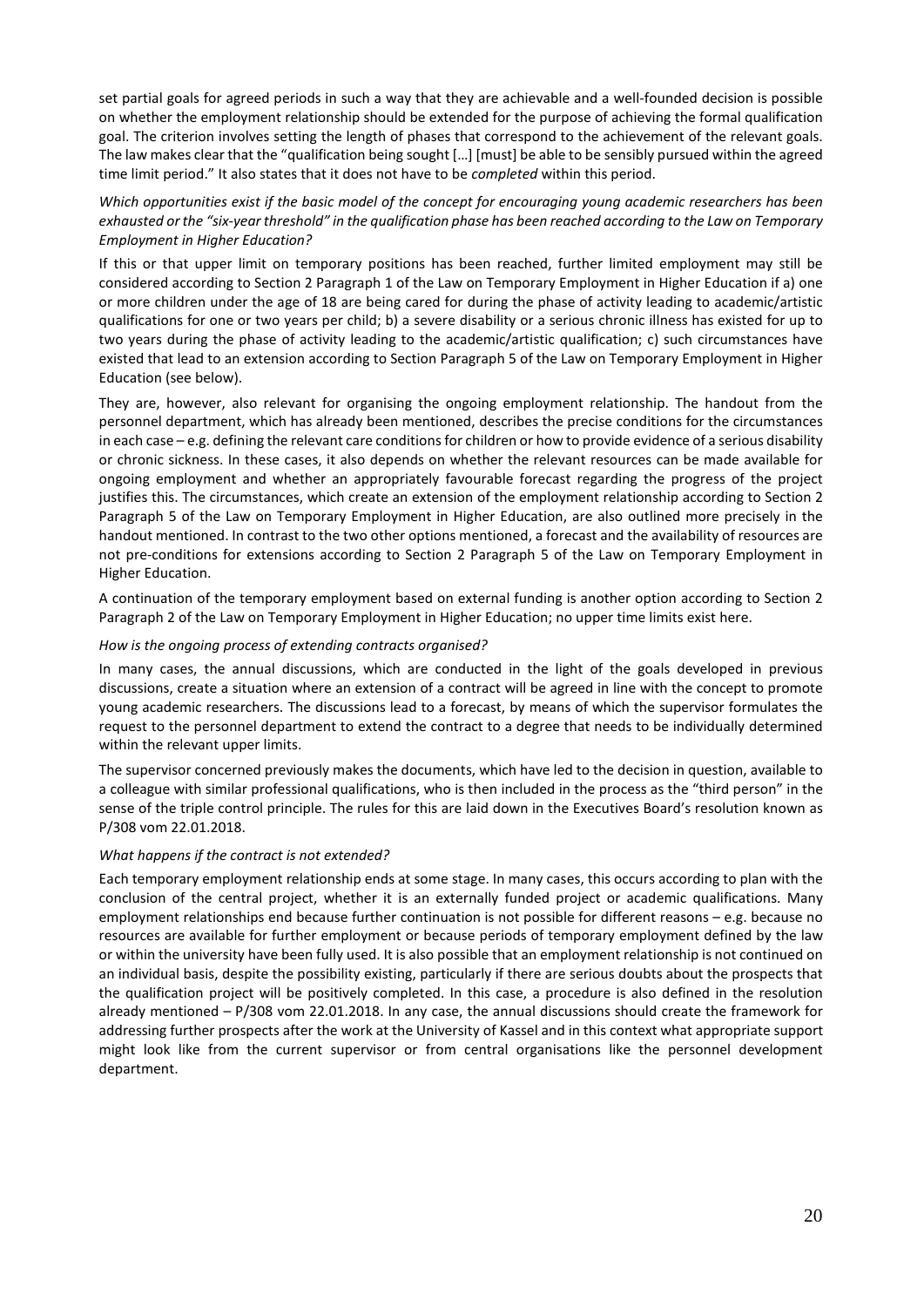set partial goals for agreed periods in such a way that they are achievable and a well-founded decision is possible on whether the employment relationship should be extended for the purpose of achieving the formal qualification goal. The criterion involves setting the length of phases that correspond to the achievement of the relevant goals. The law makes clear that the "qualification being sought […] [must] be able to be sensibly pursued within the agreed time limit period." It also states that it does not have to be *completed* within this period.

### *Which opportunities exist if the basic model of the concept for encouraging young academic researchers has been exhausted or the "six-year threshold" in the qualification phase has been reached according to the Law on Temporary Employment in Higher Education?*

If this or that upper limit on temporary positions has been reached, further limited employment may still be considered according to Section 2 Paragraph 1 of the Law on Temporary Employment in Higher Education if a) one or more children under the age of 18 are being cared for during the phase of activity leading to academic/artistic qualifications for one or two years per child; b) a severe disability or a serious chronic illness has existed for up to two years during the phase of activity leading to the academic/artistic qualification; c) such circumstances have existed that lead to an extension according to Section Paragraph 5 of the Law on Temporary Employment in Higher Education (see below).

They are, however, also relevant for organising the ongoing employment relationship. The handout from the personnel department, which has already been mentioned, describes the precise conditions for the circumstances in each case – e.g. defining the relevant care conditions for children or how to provide evidence of a serious disability or chronic sickness. In these cases, it also depends on whether the relevant resources can be made available for ongoing employment and whether an appropriately favourable forecast regarding the progress of the project justifies this. The circumstances, which create an extension of the employment relationship according to Section 2 Paragraph 5 of the Law on Temporary Employment in Higher Education, are also outlined more precisely in the handout mentioned. In contrast to the two other options mentioned, a forecast and the availability of resources are not pre-conditions for extensions according to Section 2 Paragraph 5 of the Law on Temporary Employment in Higher Education.

A continuation of the temporary employment based on external funding is another option according to Section 2 Paragraph 2 of the Law on Temporary Employment in Higher Education; no upper time limits exist here.

### *How is the ongoing process of extending contracts organised?*

In many cases, the annual discussions, which are conducted in the light of the goals developed in previous discussions, create a situation where an extension of a contract will be agreed in line with the concept to promote young academic researchers. The discussions lead to a forecast, by means of which the supervisor formulates the request to the personnel department to extend the contract to a degree that needs to be individually determined within the relevant upper limits.

The supervisor concerned previously makes the documents, which have led to the decision in question, available to a colleague with similar professional qualifications, who is then included in the process as the "third person" in the sense of the triple control principle. The rules for this are laid down in the Executives Board's resolution known as P/308 vom 22.01.2018.

### *What happens if the contract is not extended?*

Each temporary employment relationship ends at some stage. In many cases, this occurs according to plan with the conclusion of the central project, whether it is an externally funded project or academic qualifications. Many employment relationships end because further continuation is not possible for different reasons – e.g. because no resources are available for further employment or because periods of temporary employment defined by the law or within the university have been fully used. It is also possible that an employment relationship is not continued on an individual basis, despite the possibility existing, particularly if there are serious doubts about the prospects that the qualification project will be positively completed. In this case, a procedure is also defined in the resolution already mentioned – P/308 vom 22.01.2018. In any case, the annual discussions should create the framework for addressing further prospects after the work at the University of Kassel and in this context what appropriate support might look like from the current supervisor or from central organisations like the personnel development department.